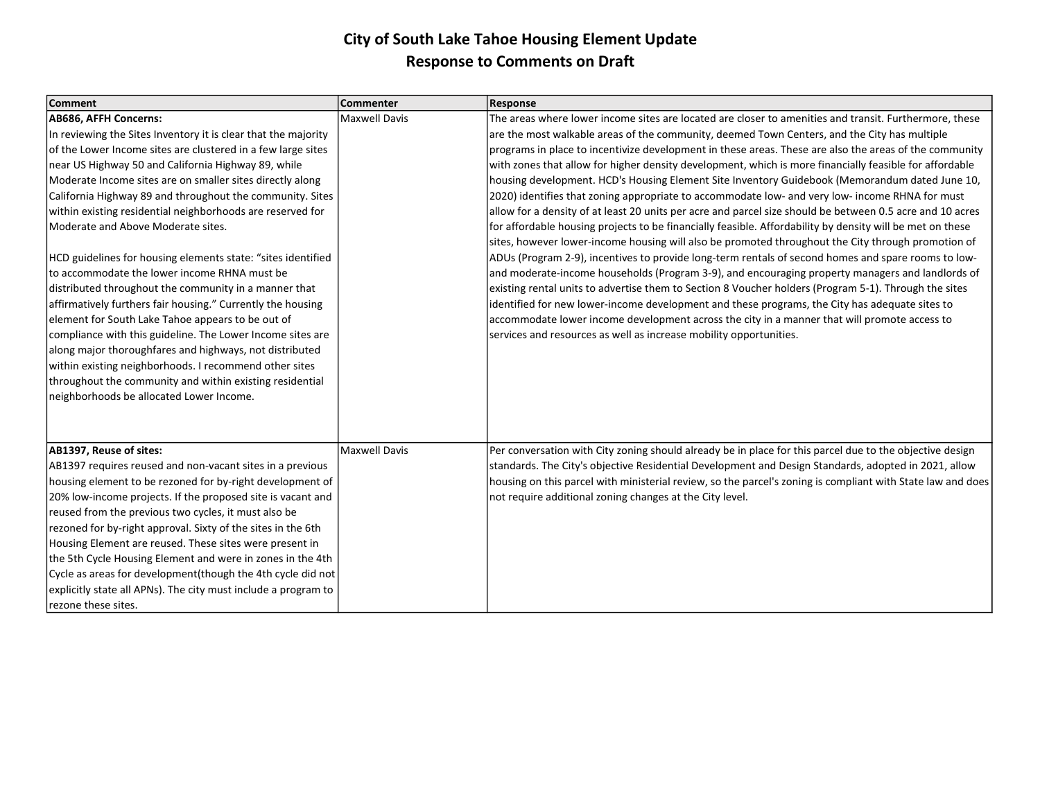| <b>Comment</b>                                                 | <b>Commenter</b>     | Response                                                                                                    |
|----------------------------------------------------------------|----------------------|-------------------------------------------------------------------------------------------------------------|
| AB686, AFFH Concerns:                                          | <b>Maxwell Davis</b> | The areas where lower income sites are located are closer to amenities and transit. Furthermore, these      |
| In reviewing the Sites Inventory it is clear that the majority |                      | are the most walkable areas of the community, deemed Town Centers, and the City has multiple                |
| of the Lower Income sites are clustered in a few large sites   |                      | programs in place to incentivize development in these areas. These are also the areas of the community      |
| near US Highway 50 and California Highway 89, while            |                      | with zones that allow for higher density development, which is more financially feasible for affordable     |
| Moderate Income sites are on smaller sites directly along      |                      | housing development. HCD's Housing Element Site Inventory Guidebook (Memorandum dated June 10,              |
| California Highway 89 and throughout the community. Sites      |                      | 2020) identifies that zoning appropriate to accommodate low- and very low- income RHNA for must             |
| within existing residential neighborhoods are reserved for     |                      | allow for a density of at least 20 units per acre and parcel size should be between 0.5 acre and 10 acres   |
| Moderate and Above Moderate sites.                             |                      | for affordable housing projects to be financially feasible. Affordability by density will be met on these   |
|                                                                |                      | sites, however lower-income housing will also be promoted throughout the City through promotion of          |
| HCD guidelines for housing elements state: "sites identified   |                      | ADUs (Program 2-9), incentives to provide long-term rentals of second homes and spare rooms to low-         |
| to accommodate the lower income RHNA must be                   |                      | and moderate-income households (Program 3-9), and encouraging property managers and landlords of            |
| distributed throughout the community in a manner that          |                      | existing rental units to advertise them to Section 8 Voucher holders (Program 5-1). Through the sites       |
| affirmatively furthers fair housing." Currently the housing    |                      | identified for new lower-income development and these programs, the City has adequate sites to              |
| element for South Lake Tahoe appears to be out of              |                      | accommodate lower income development across the city in a manner that will promote access to                |
| compliance with this guideline. The Lower Income sites are     |                      | services and resources as well as increase mobility opportunities.                                          |
| along major thoroughfares and highways, not distributed        |                      |                                                                                                             |
| within existing neighborhoods. I recommend other sites         |                      |                                                                                                             |
| throughout the community and within existing residential       |                      |                                                                                                             |
| neighborhoods be allocated Lower Income.                       |                      |                                                                                                             |
|                                                                |                      |                                                                                                             |
|                                                                |                      |                                                                                                             |
| AB1397, Reuse of sites:                                        | <b>Maxwell Davis</b> | Per conversation with City zoning should already be in place for this parcel due to the objective design    |
| AB1397 requires reused and non-vacant sites in a previous      |                      | standards. The City's objective Residential Development and Design Standards, adopted in 2021, allow        |
| housing element to be rezoned for by-right development of      |                      | housing on this parcel with ministerial review, so the parcel's zoning is compliant with State law and does |
| 20% low-income projects. If the proposed site is vacant and    |                      | not require additional zoning changes at the City level.                                                    |
| reused from the previous two cycles, it must also be           |                      |                                                                                                             |
| rezoned for by-right approval. Sixty of the sites in the 6th   |                      |                                                                                                             |
| Housing Element are reused. These sites were present in        |                      |                                                                                                             |
| the 5th Cycle Housing Element and were in zones in the 4th     |                      |                                                                                                             |
| Cycle as areas for development(though the 4th cycle did not    |                      |                                                                                                             |
| explicitly state all APNs). The city must include a program to |                      |                                                                                                             |
| rezone these sites.                                            |                      |                                                                                                             |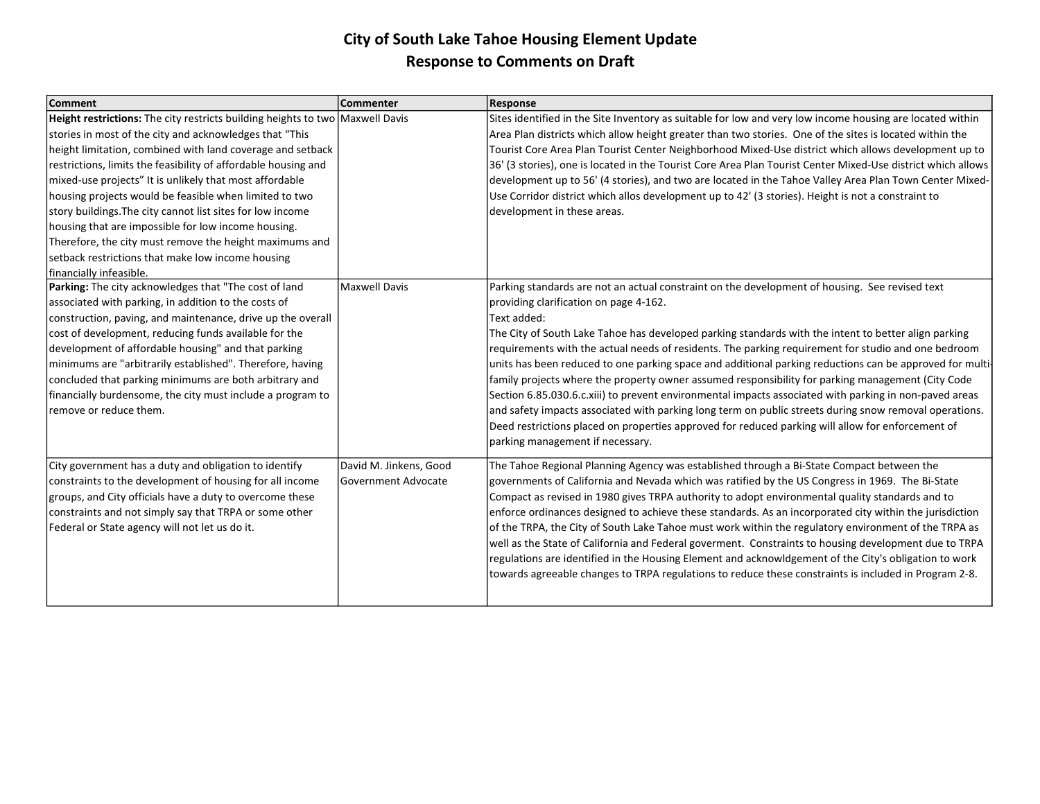| <b>Comment</b>                                                                | Commenter              | <b>Response</b>                                                                                              |
|-------------------------------------------------------------------------------|------------------------|--------------------------------------------------------------------------------------------------------------|
| Height restrictions: The city restricts building heights to two Maxwell Davis |                        | Sites identified in the Site Inventory as suitable for low and very low income housing are located within    |
| stories in most of the city and acknowledges that "This                       |                        | Area Plan districts which allow height greater than two stories. One of the sites is located within the      |
| height limitation, combined with land coverage and setback                    |                        | Tourist Core Area Plan Tourist Center Neighborhood Mixed-Use district which allows development up to         |
| restrictions, limits the feasibility of affordable housing and                |                        | 36' (3 stories), one is located in the Tourist Core Area Plan Tourist Center Mixed-Use district which allows |
| mixed-use projects" It is unlikely that most affordable                       |                        | development up to 56' (4 stories), and two are located in the Tahoe Valley Area Plan Town Center Mixed-      |
| housing projects would be feasible when limited to two                        |                        | Use Corridor district which allos development up to 42' (3 stories). Height is not a constraint to           |
| story buildings. The city cannot list sites for low income                    |                        | development in these areas.                                                                                  |
| housing that are impossible for low income housing.                           |                        |                                                                                                              |
| Therefore, the city must remove the height maximums and                       |                        |                                                                                                              |
| setback restrictions that make low income housing                             |                        |                                                                                                              |
| Ifinancially infeasible.                                                      |                        |                                                                                                              |
| Parking: The city acknowledges that "The cost of land                         | <b>Maxwell Davis</b>   | Parking standards are not an actual constraint on the development of housing. See revised text               |
| associated with parking, in addition to the costs of                          |                        | providing clarification on page 4-162.                                                                       |
| construction, paving, and maintenance, drive up the overall                   |                        | Text added:                                                                                                  |
| cost of development, reducing funds available for the                         |                        | The City of South Lake Tahoe has developed parking standards with the intent to better align parking         |
| development of affordable housing" and that parking                           |                        | requirements with the actual needs of residents. The parking requirement for studio and one bedroom          |
| minimums are "arbitrarily established". Therefore, having                     |                        | units has been reduced to one parking space and additional parking reductions can be approved for multi-     |
| concluded that parking minimums are both arbitrary and                        |                        | family projects where the property owner assumed responsibility for parking management (City Code            |
| financially burdensome, the city must include a program to                    |                        | Section 6.85.030.6.c.xiii) to prevent environmental impacts associated with parking in non-paved areas       |
| Iremove or reduce them.                                                       |                        | and safety impacts associated with parking long term on public streets during snow removal operations.       |
|                                                                               |                        | Deed restrictions placed on properties approved for reduced parking will allow for enforcement of            |
|                                                                               |                        | parking management if necessary.                                                                             |
| City government has a duty and obligation to identify                         | David M. Jinkens, Good | The Tahoe Regional Planning Agency was established through a Bi-State Compact between the                    |
| constraints to the development of housing for all income                      | Government Advocate    | governments of California and Nevada which was ratified by the US Congress in 1969. The Bi-State             |
| groups, and City officials have a duty to overcome these                      |                        | Compact as revised in 1980 gives TRPA authority to adopt environmental quality standards and to              |
| constraints and not simply say that TRPA or some other                        |                        | enforce ordinances designed to achieve these standards. As an incorporated city within the jurisdiction      |
| Federal or State agency will not let us do it.                                |                        | of the TRPA, the City of South Lake Tahoe must work within the regulatory environment of the TRPA as         |
|                                                                               |                        | well as the State of California and Federal goverment. Constraints to housing development due to TRPA        |
|                                                                               |                        | regulations are identified in the Housing Element and acknowldgement of the City's obligation to work        |
|                                                                               |                        | towards agreeable changes to TRPA regulations to reduce these constraints is included in Program 2-8.        |
|                                                                               |                        |                                                                                                              |
|                                                                               |                        |                                                                                                              |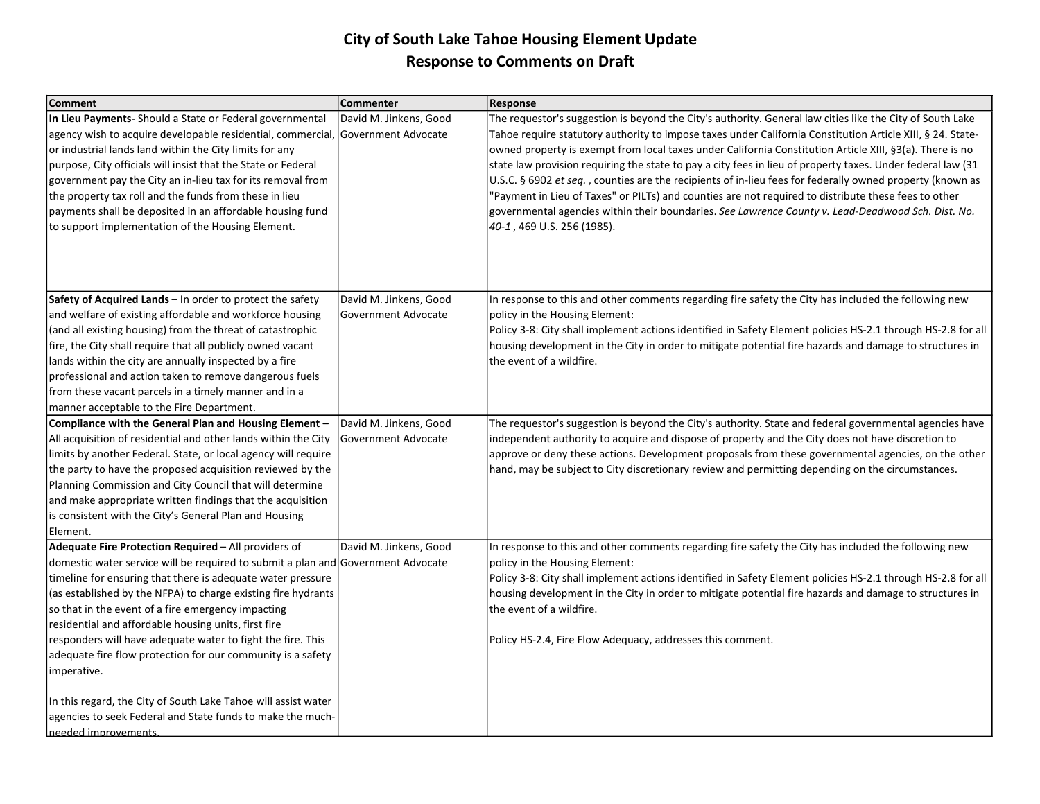| <b>Comment</b>                                                                                                                                                                                                                                                                                                                                                                                                                                                                                                                      | <b>Commenter</b>                              | <b>Response</b>                                                                                                                                                                                                                                                                                                                                                                                                                                                                                                                                                                                                                                                                                                                                                                                             |
|-------------------------------------------------------------------------------------------------------------------------------------------------------------------------------------------------------------------------------------------------------------------------------------------------------------------------------------------------------------------------------------------------------------------------------------------------------------------------------------------------------------------------------------|-----------------------------------------------|-------------------------------------------------------------------------------------------------------------------------------------------------------------------------------------------------------------------------------------------------------------------------------------------------------------------------------------------------------------------------------------------------------------------------------------------------------------------------------------------------------------------------------------------------------------------------------------------------------------------------------------------------------------------------------------------------------------------------------------------------------------------------------------------------------------|
| In Lieu Payments-Should a State or Federal governmental<br>agency wish to acquire developable residential, commercial, Government Advocate<br>or industrial lands land within the City limits for any<br>purpose, City officials will insist that the State or Federal<br>government pay the City an in-lieu tax for its removal from<br>the property tax roll and the funds from these in lieu<br>payments shall be deposited in an affordable housing fund<br>to support implementation of the Housing Element.                   | David M. Jinkens, Good                        | The requestor's suggestion is beyond the City's authority. General law cities like the City of South Lake<br>Tahoe require statutory authority to impose taxes under California Constitution Article XIII, § 24. State-<br>owned property is exempt from local taxes under California Constitution Article XIII, §3(a). There is no<br>state law provision requiring the state to pay a city fees in lieu of property taxes. Under federal law (31<br>U.S.C. § 6902 et seq., counties are the recipients of in-lieu fees for federally owned property (known as<br>"Payment in Lieu of Taxes" or PILTs) and counties are not required to distribute these fees to other<br>governmental agencies within their boundaries. See Lawrence County v. Lead-Deadwood Sch. Dist. No.<br>40-1, 469 U.S. 256 (1985). |
| Safety of Acquired Lands - In order to protect the safety<br>and welfare of existing affordable and workforce housing<br>(and all existing housing) from the threat of catastrophic<br>fire, the City shall require that all publicly owned vacant<br>lands within the city are annually inspected by a fire<br>professional and action taken to remove dangerous fuels<br>from these vacant parcels in a timely manner and in a<br>manner acceptable to the Fire Department.                                                       | David M. Jinkens, Good<br>Government Advocate | In response to this and other comments regarding fire safety the City has included the following new<br>policy in the Housing Element:<br>Policy 3-8: City shall implement actions identified in Safety Element policies HS-2.1 through HS-2.8 for all<br>housing development in the City in order to mitigate potential fire hazards and damage to structures in<br>the event of a wildfire.                                                                                                                                                                                                                                                                                                                                                                                                               |
| Compliance with the General Plan and Housing Element -<br>All acquisition of residential and other lands within the City<br>limits by another Federal. State, or local agency will require<br>the party to have the proposed acquisition reviewed by the<br>Planning Commission and City Council that will determine<br>and make appropriate written findings that the acquisition<br>is consistent with the City's General Plan and Housing<br>Element.                                                                            | David M. Jinkens, Good<br>Government Advocate | The requestor's suggestion is beyond the City's authority. State and federal governmental agencies have<br>independent authority to acquire and dispose of property and the City does not have discretion to<br>approve or deny these actions. Development proposals from these governmental agencies, on the other<br>hand, may be subject to City discretionary review and permitting depending on the circumstances.                                                                                                                                                                                                                                                                                                                                                                                     |
| Adequate Fire Protection Required - All providers of<br>domestic water service will be required to submit a plan and Government Advocate<br>timeline for ensuring that there is adequate water pressure<br>(as established by the NFPA) to charge existing fire hydrants<br>so that in the event of a fire emergency impacting<br>residential and affordable housing units, first fire<br>responders will have adequate water to fight the fire. This<br>adequate fire flow protection for our community is a safety<br>imperative. | David M. Jinkens, Good                        | In response to this and other comments regarding fire safety the City has included the following new<br>policy in the Housing Element:<br>Policy 3-8: City shall implement actions identified in Safety Element policies HS-2.1 through HS-2.8 for all<br>housing development in the City in order to mitigate potential fire hazards and damage to structures in<br>the event of a wildfire.<br>Policy HS-2.4, Fire Flow Adequacy, addresses this comment.                                                                                                                                                                                                                                                                                                                                                 |
| In this regard, the City of South Lake Tahoe will assist water<br>agencies to seek Federal and State funds to make the much-<br>needed improvements.                                                                                                                                                                                                                                                                                                                                                                                |                                               |                                                                                                                                                                                                                                                                                                                                                                                                                                                                                                                                                                                                                                                                                                                                                                                                             |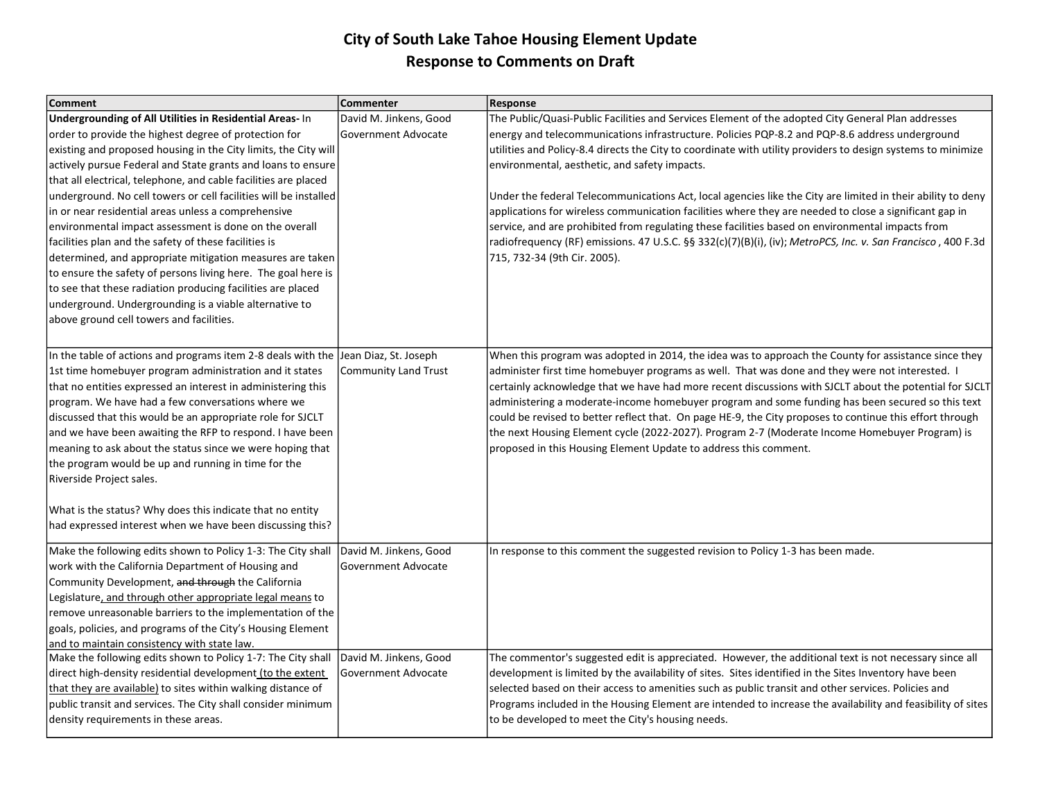| <b>Comment</b>                                                                     | <b>Commenter</b>            | <b>Response</b>                                                                                              |
|------------------------------------------------------------------------------------|-----------------------------|--------------------------------------------------------------------------------------------------------------|
| <b>Undergrounding of All Utilities in Residential Areas-In</b>                     | David M. Jinkens, Good      | The Public/Quasi-Public Facilities and Services Element of the adopted City General Plan addresses           |
| order to provide the highest degree of protection for                              | Government Advocate         | energy and telecommunications infrastructure. Policies PQP-8.2 and PQP-8.6 address underground               |
| existing and proposed housing in the City limits, the City will                    |                             | utilities and Policy-8.4 directs the City to coordinate with utility providers to design systems to minimize |
| actively pursue Federal and State grants and loans to ensure                       |                             | environmental, aesthetic, and safety impacts.                                                                |
| that all electrical, telephone, and cable facilities are placed                    |                             |                                                                                                              |
| underground. No cell towers or cell facilities will be installed                   |                             | Under the federal Telecommunications Act, local agencies like the City are limited in their ability to deny  |
| in or near residential areas unless a comprehensive                                |                             | applications for wireless communication facilities where they are needed to close a significant gap in       |
| environmental impact assessment is done on the overall                             |                             | service, and are prohibited from regulating these facilities based on environmental impacts from             |
| facilities plan and the safety of these facilities is                              |                             | radiofrequency (RF) emissions. 47 U.S.C. §§ 332(c)(7)(B)(i), (iv); MetroPCS, Inc. v. San Francisco, 400 F.3d |
| determined, and appropriate mitigation measures are taken                          |                             | 715, 732-34 (9th Cir. 2005).                                                                                 |
| to ensure the safety of persons living here. The goal here is                      |                             |                                                                                                              |
| to see that these radiation producing facilities are placed                        |                             |                                                                                                              |
| underground. Undergrounding is a viable alternative to                             |                             |                                                                                                              |
| above ground cell towers and facilities.                                           |                             |                                                                                                              |
|                                                                                    |                             |                                                                                                              |
| In the table of actions and programs item 2-8 deals with the Jean Diaz, St. Joseph |                             | When this program was adopted in 2014, the idea was to approach the County for assistance since they         |
| 1st time homebuyer program administration and it states                            | <b>Community Land Trust</b> | administer first time homebuyer programs as well. That was done and they were not interested. I              |
| that no entities expressed an interest in administering this                       |                             | certainly acknowledge that we have had more recent discussions with SJCLT about the potential for SJCLT      |
| program. We have had a few conversations where we                                  |                             | administering a moderate-income homebuyer program and some funding has been secured so this text             |
| discussed that this would be an appropriate role for SJCLT                         |                             | could be revised to better reflect that. On page HE-9, the City proposes to continue this effort through     |
| and we have been awaiting the RFP to respond. I have been                          |                             | the next Housing Element cycle (2022-2027). Program 2-7 (Moderate Income Homebuyer Program) is               |
| meaning to ask about the status since we were hoping that                          |                             | proposed in this Housing Element Update to address this comment.                                             |
| the program would be up and running in time for the                                |                             |                                                                                                              |
| Riverside Project sales.                                                           |                             |                                                                                                              |
| What is the status? Why does this indicate that no entity                          |                             |                                                                                                              |
| had expressed interest when we have been discussing this?                          |                             |                                                                                                              |
| Make the following edits shown to Policy 1-3: The City shall                       | David M. Jinkens, Good      | In response to this comment the suggested revision to Policy 1-3 has been made.                              |
| work with the California Department of Housing and                                 | Government Advocate         |                                                                                                              |
| Community Development, and through the California                                  |                             |                                                                                                              |
| Legislature, and through other appropriate legal means to                          |                             |                                                                                                              |
| remove unreasonable barriers to the implementation of the                          |                             |                                                                                                              |
| goals, policies, and programs of the City's Housing Element                        |                             |                                                                                                              |
| and to maintain consistency with state law.                                        |                             |                                                                                                              |
| Make the following edits shown to Policy 1-7: The City shall                       | David M. Jinkens, Good      | The commentor's suggested edit is appreciated. However, the additional text is not necessary since all       |
| direct high-density residential development (to the extent                         | Government Advocate         | development is limited by the availability of sites. Sites identified in the Sites Inventory have been       |
| that they are available) to sites within walking distance of                       |                             | selected based on their access to amenities such as public transit and other services. Policies and          |
| public transit and services. The City shall consider minimum                       |                             | Programs included in the Housing Element are intended to increase the availability and feasibility of sites  |
| density requirements in these areas.                                               |                             | to be developed to meet the City's housing needs.                                                            |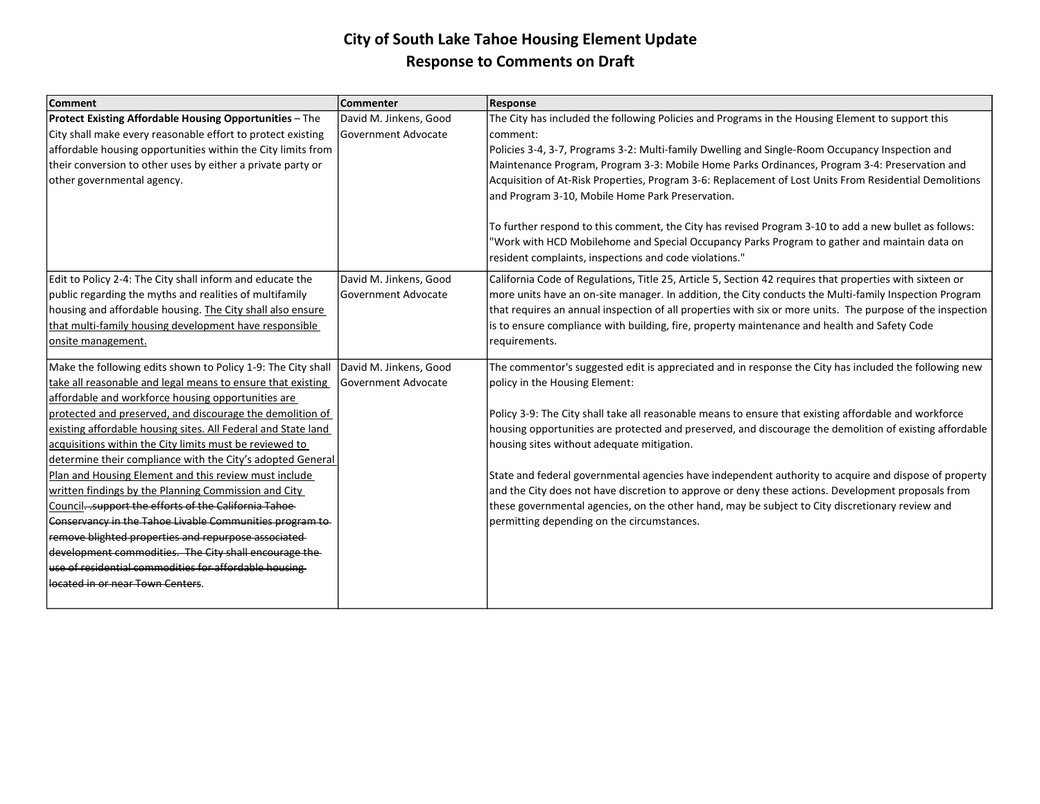| <b>Comment</b>                                                 | <b>Commenter</b>            | <b>Response</b>                                                                                            |
|----------------------------------------------------------------|-----------------------------|------------------------------------------------------------------------------------------------------------|
| <b>Protect Existing Affordable Housing Opportunities - The</b> | David M. Jinkens, Good      | The City has included the following Policies and Programs in the Housing Element to support this           |
| City shall make every reasonable effort to protect existing    | Government Advocate         | comment:                                                                                                   |
| affordable housing opportunities within the City limits from   |                             | Policies 3-4, 3-7, Programs 3-2: Multi-family Dwelling and Single-Room Occupancy Inspection and            |
| their conversion to other uses by either a private party or    |                             | Maintenance Program, Program 3-3: Mobile Home Parks Ordinances, Program 3-4: Preservation and              |
| other governmental agency.                                     |                             | Acquisition of At-Risk Properties, Program 3-6: Replacement of Lost Units From Residential Demolitions     |
|                                                                |                             | and Program 3-10, Mobile Home Park Preservation.                                                           |
|                                                                |                             | To further respond to this comment, the City has revised Program 3-10 to add a new bullet as follows:      |
|                                                                |                             | Work with HCD Mobilehome and Special Occupancy Parks Program to gather and maintain data on                |
|                                                                |                             | resident complaints, inspections and code violations."                                                     |
| Edit to Policy 2-4: The City shall inform and educate the      | David M. Jinkens, Good      | California Code of Regulations, Title 25, Article 5, Section 42 requires that properties with sixteen or   |
| public regarding the myths and realities of multifamily        | Government Advocate         | more units have an on-site manager. In addition, the City conducts the Multi-family Inspection Program     |
| housing and affordable housing. The City shall also ensure     |                             | that requires an annual inspection of all properties with six or more units. The purpose of the inspection |
| that multi-family housing development have responsible         |                             | is to ensure compliance with building, fire, property maintenance and health and Safety Code               |
| onsite management.                                             |                             | requirements.                                                                                              |
| Make the following edits shown to Policy 1-9: The City shall   | David M. Jinkens, Good      | The commentor's suggested edit is appreciated and in response the City has included the following new      |
| take all reasonable and legal means to ensure that existing    | <b>IGovernment Advocate</b> | policy in the Housing Element:                                                                             |
| affordable and workforce housing opportunities are             |                             |                                                                                                            |
| protected and preserved, and discourage the demolition of      |                             | Policy 3-9: The City shall take all reasonable means to ensure that existing affordable and workforce      |
| existing affordable housing sites. All Federal and State land  |                             | housing opportunities are protected and preserved, and discourage the demolition of existing affordable    |
| acquisitions within the City limits must be reviewed to        |                             | housing sites without adequate mitigation.                                                                 |
| determine their compliance with the City's adopted General     |                             |                                                                                                            |
| Plan and Housing Element and this review must include          |                             | State and federal governmental agencies have independent authority to acquire and dispose of property      |
| written findings by the Planning Commission and City           |                             | and the City does not have discretion to approve or deny these actions. Development proposals from         |
| Council - support the efforts of the California Tahoe          |                             | these governmental agencies, on the other hand, may be subject to City discretionary review and            |
| Conservancy in the Tahoe Livable Communities program to        |                             | permitting depending on the circumstances.                                                                 |
| remove blighted properties and repurpose associated            |                             |                                                                                                            |
| development commodities. The City shall encourage the          |                             |                                                                                                            |
| use of residential commodities for affordable housing          |                             |                                                                                                            |
| located in or near Town Centers                                |                             |                                                                                                            |
|                                                                |                             |                                                                                                            |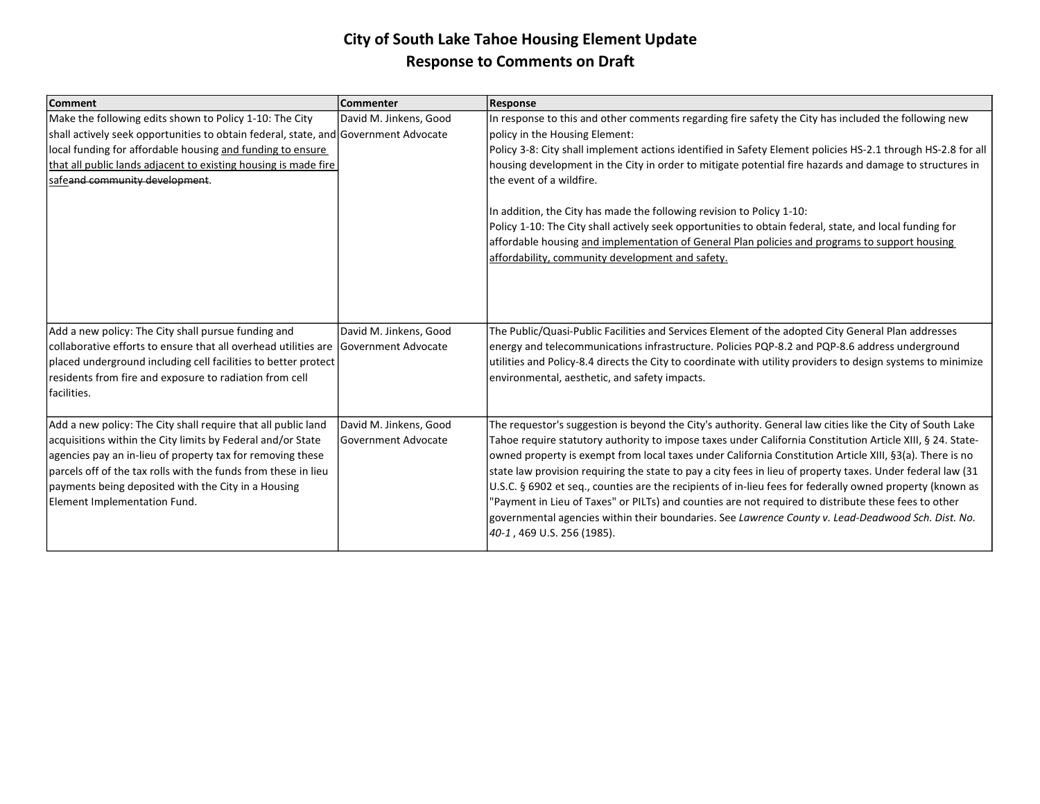| <b>Comment</b>                                                                              | <b>Commenter</b>            | <b>Response</b>                                                                                              |
|---------------------------------------------------------------------------------------------|-----------------------------|--------------------------------------------------------------------------------------------------------------|
| Make the following edits shown to Policy 1-10: The City                                     | David M. Jinkens, Good      | In response to this and other comments regarding fire safety the City has included the following new         |
| shall actively seek opportunities to obtain federal, state, and Government Advocate         |                             | policy in the Housing Element:                                                                               |
| local funding for affordable housing and funding to ensure                                  |                             | Policy 3-8: City shall implement actions identified in Safety Element policies HS-2.1 through HS-2.8 for all |
| that all public lands adjacent to existing housing is made fire                             |                             | housing development in the City in order to mitigate potential fire hazards and damage to structures in      |
| safeand community development.                                                              |                             | the event of a wildfire.                                                                                     |
|                                                                                             |                             |                                                                                                              |
|                                                                                             |                             | In addition, the City has made the following revision to Policy 1-10:                                        |
|                                                                                             |                             | Policy 1-10: The City shall actively seek opportunities to obtain federal, state, and local funding for      |
|                                                                                             |                             | affordable housing and implementation of General Plan policies and programs to support housing               |
|                                                                                             |                             | affordability, community development and safety.                                                             |
|                                                                                             |                             |                                                                                                              |
|                                                                                             |                             |                                                                                                              |
|                                                                                             |                             |                                                                                                              |
| Add a new policy: The City shall pursue funding and                                         | David M. Jinkens, Good      | The Public/Quasi-Public Facilities and Services Element of the adopted City General Plan addresses           |
| $ $ collaborative efforts to ensure that all overhead utilities are $ $ Government Advocate |                             | energy and telecommunications infrastructure. Policies PQP-8.2 and PQP-8.6 address underground               |
| placed underground including cell facilities to better protect                              |                             | utilities and Policy-8.4 directs the City to coordinate with utility providers to design systems to minimize |
| residents from fire and exposure to radiation from cell                                     |                             | environmental, aesthetic, and safety impacts.                                                                |
| facilities.                                                                                 |                             |                                                                                                              |
|                                                                                             |                             |                                                                                                              |
| Add a new policy: The City shall require that all public land                               | David M. Jinkens, Good      | The requestor's suggestion is beyond the City's authority. General law cities like the City of South Lake    |
| acquisitions within the City limits by Federal and/or State                                 | <b>IGovernment Advocate</b> | Tahoe require statutory authority to impose taxes under California Constitution Article XIII, § 24. State-   |
| agencies pay an in-lieu of property tax for removing these                                  |                             | owned property is exempt from local taxes under California Constitution Article XIII, §3(a). There is no     |
| parcels off of the tax rolls with the funds from these in lieu                              |                             | state law provision requiring the state to pay a city fees in lieu of property taxes. Under federal law (31) |
| payments being deposited with the City in a Housing                                         |                             | U.S.C. § 6902 et seq., counties are the recipients of in-lieu fees for federally owned property (known as    |
| Element Implementation Fund.                                                                |                             | "Payment in Lieu of Taxes" or PILTs) and counties are not required to distribute these fees to other         |
|                                                                                             |                             | governmental agencies within their boundaries. See Lawrence County v. Lead-Deadwood Sch. Dist. No.           |
|                                                                                             |                             | 40-1, 469 U.S. 256 (1985).                                                                                   |
|                                                                                             |                             |                                                                                                              |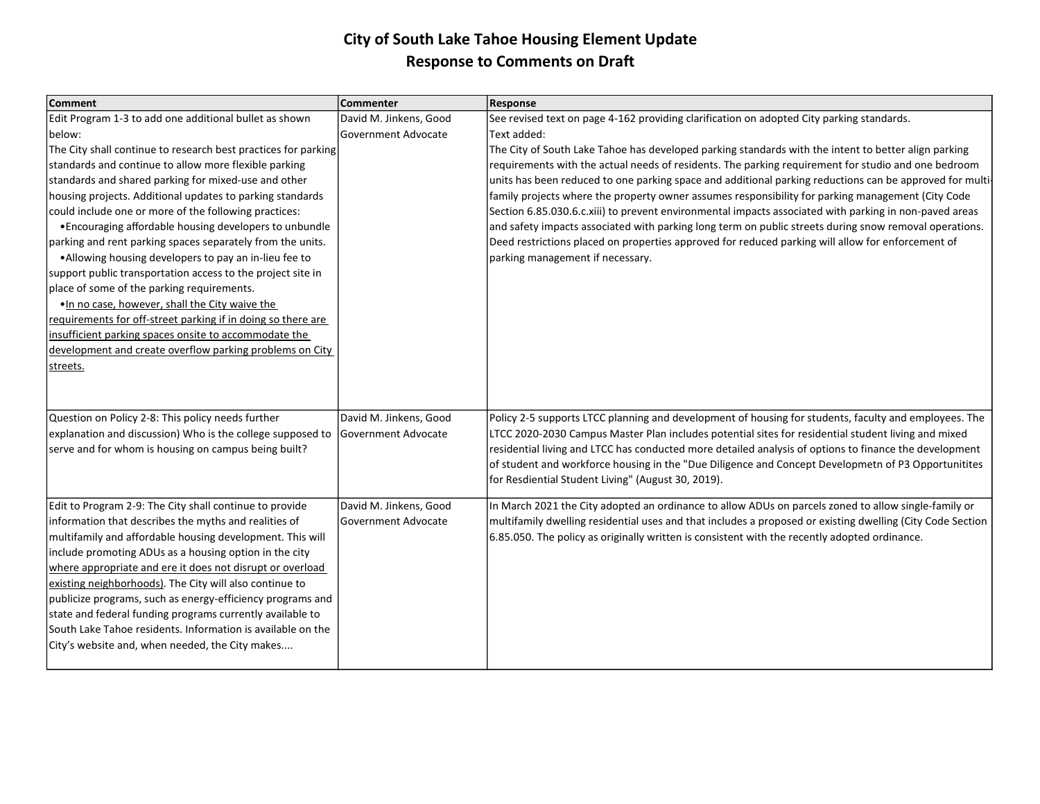| <b>Comment</b>                                                 | <b>Commenter</b>       | <b>Response</b>                                                                                            |
|----------------------------------------------------------------|------------------------|------------------------------------------------------------------------------------------------------------|
| Edit Program 1-3 to add one additional bullet as shown         | David M. Jinkens, Good | See revised text on page 4-162 providing clarification on adopted City parking standards.                  |
| below:                                                         | Government Advocate    | Text added:                                                                                                |
| The City shall continue to research best practices for parking |                        | The City of South Lake Tahoe has developed parking standards with the intent to better align parking       |
| standards and continue to allow more flexible parking          |                        | requirements with the actual needs of residents. The parking requirement for studio and one bedroom        |
| standards and shared parking for mixed-use and other           |                        | units has been reduced to one parking space and additional parking reductions can be approved for multi-   |
| housing projects. Additional updates to parking standards      |                        | family projects where the property owner assumes responsibility for parking management (City Code          |
| could include one or more of the following practices:          |                        | Section 6.85.030.6.c.xiii) to prevent environmental impacts associated with parking in non-paved areas     |
| • Encouraging affordable housing developers to unbundle        |                        | and safety impacts associated with parking long term on public streets during snow removal operations.     |
| parking and rent parking spaces separately from the units.     |                        | Deed restrictions placed on properties approved for reduced parking will allow for enforcement of          |
| • Allowing housing developers to pay an in-lieu fee to         |                        | parking management if necessary.                                                                           |
| support public transportation access to the project site in    |                        |                                                                                                            |
| place of some of the parking requirements.                     |                        |                                                                                                            |
| . In no case, however, shall the City waive the                |                        |                                                                                                            |
| requirements for off-street parking if in doing so there are   |                        |                                                                                                            |
| insufficient parking spaces onsite to accommodate the          |                        |                                                                                                            |
| development and create overflow parking problems on City       |                        |                                                                                                            |
| streets.                                                       |                        |                                                                                                            |
|                                                                |                        |                                                                                                            |
|                                                                |                        |                                                                                                            |
| Question on Policy 2-8: This policy needs further              | David M. Jinkens, Good | Policy 2-5 supports LTCC planning and development of housing for students, faculty and employees. The      |
| explanation and discussion) Who is the college supposed to     | Government Advocate    | LTCC 2020-2030 Campus Master Plan includes potential sites for residential student living and mixed        |
| serve and for whom is housing on campus being built?           |                        | residential living and LTCC has conducted more detailed analysis of options to finance the development     |
|                                                                |                        | of student and workforce housing in the "Due Diligence and Concept Developmetn of P3 Opportunitites        |
|                                                                |                        | for Resdiential Student Living" (August 30, 2019).                                                         |
| Edit to Program 2-9: The City shall continue to provide        | David M. Jinkens, Good | In March 2021 the City adopted an ordinance to allow ADUs on parcels zoned to allow single-family or       |
| information that describes the myths and realities of          | Government Advocate    | multifamily dwelling residential uses and that includes a proposed or existing dwelling (City Code Section |
| multifamily and affordable housing development. This will      |                        | 6.85.050. The policy as originally written is consistent with the recently adopted ordinance.              |
| include promoting ADUs as a housing option in the city         |                        |                                                                                                            |
| where appropriate and ere it does not disrupt or overload      |                        |                                                                                                            |
| existing neighborhoods). The City will also continue to        |                        |                                                                                                            |
| publicize programs, such as energy-efficiency programs and     |                        |                                                                                                            |
| state and federal funding programs currently available to      |                        |                                                                                                            |
| South Lake Tahoe residents. Information is available on the    |                        |                                                                                                            |
| City's website and, when needed, the City makes                |                        |                                                                                                            |
|                                                                |                        |                                                                                                            |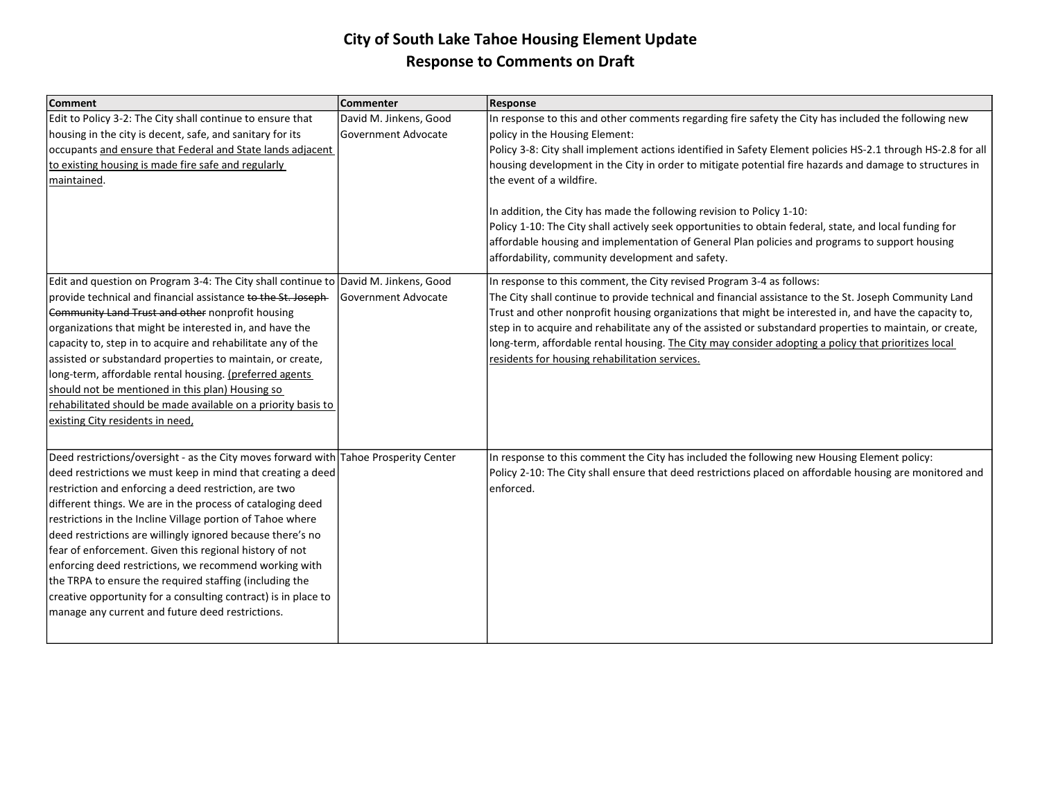| <b>Comment</b>                                                                       | Commenter              | <b>Response</b>                                                                                              |
|--------------------------------------------------------------------------------------|------------------------|--------------------------------------------------------------------------------------------------------------|
| Edit to Policy 3-2: The City shall continue to ensure that                           | David M. Jinkens, Good | In response to this and other comments regarding fire safety the City has included the following new         |
| housing in the city is decent, safe, and sanitary for its                            | lGovernment Advocate   | policy in the Housing Element:                                                                               |
| occupants and ensure that Federal and State lands adjacent                           |                        | Policy 3-8: City shall implement actions identified in Safety Element policies HS-2.1 through HS-2.8 for all |
| to existing housing is made fire safe and regularly                                  |                        | housing development in the City in order to mitigate potential fire hazards and damage to structures in      |
| maintained.                                                                          |                        | the event of a wildfire.                                                                                     |
|                                                                                      |                        |                                                                                                              |
|                                                                                      |                        | In addition, the City has made the following revision to Policy 1-10:                                        |
|                                                                                      |                        | Policy 1-10: The City shall actively seek opportunities to obtain federal, state, and local funding for      |
|                                                                                      |                        | affordable housing and implementation of General Plan policies and programs to support housing               |
|                                                                                      |                        | affordability, community development and safety.                                                             |
| Edit and question on Program 3-4: The City shall continue to David M. Jinkens, Good  |                        | In response to this comment, the City revised Program 3-4 as follows:                                        |
| provide technical and financial assistance to the St. Joseph-                        | Government Advocate    | The City shall continue to provide technical and financial assistance to the St. Joseph Community Land       |
| Community Land Trust and other nonprofit housing                                     |                        | Trust and other nonprofit housing organizations that might be interested in, and have the capacity to,       |
| organizations that might be interested in, and have the                              |                        | step in to acquire and rehabilitate any of the assisted or substandard properties to maintain, or create,    |
| capacity to, step in to acquire and rehabilitate any of the                          |                        | long-term, affordable rental housing. The City may consider adopting a policy that prioritizes local         |
| assisted or substandard properties to maintain, or create,                           |                        | residents for housing rehabilitation services.                                                               |
| long-term, affordable rental housing. (preferred agents                              |                        |                                                                                                              |
| should not be mentioned in this plan) Housing so                                     |                        |                                                                                                              |
| rehabilitated should be made available on a priority basis to                        |                        |                                                                                                              |
| existing City residents in need,                                                     |                        |                                                                                                              |
|                                                                                      |                        |                                                                                                              |
| Deed restrictions/oversight - as the City moves forward with Tahoe Prosperity Center |                        | In response to this comment the City has included the following new Housing Element policy:                  |
| deed restrictions we must keep in mind that creating a deed                          |                        | Policy 2-10: The City shall ensure that deed restrictions placed on affordable housing are monitored and     |
| restriction and enforcing a deed restriction, are two                                |                        | lenforced.                                                                                                   |
| different things. We are in the process of cataloging deed                           |                        |                                                                                                              |
| restrictions in the Incline Village portion of Tahoe where                           |                        |                                                                                                              |
| deed restrictions are willingly ignored because there's no                           |                        |                                                                                                              |
| fear of enforcement. Given this regional history of not                              |                        |                                                                                                              |
| enforcing deed restrictions, we recommend working with                               |                        |                                                                                                              |
| the TRPA to ensure the required staffing (including the                              |                        |                                                                                                              |
| creative opportunity for a consulting contract) is in place to                       |                        |                                                                                                              |
| manage any current and future deed restrictions.                                     |                        |                                                                                                              |
|                                                                                      |                        |                                                                                                              |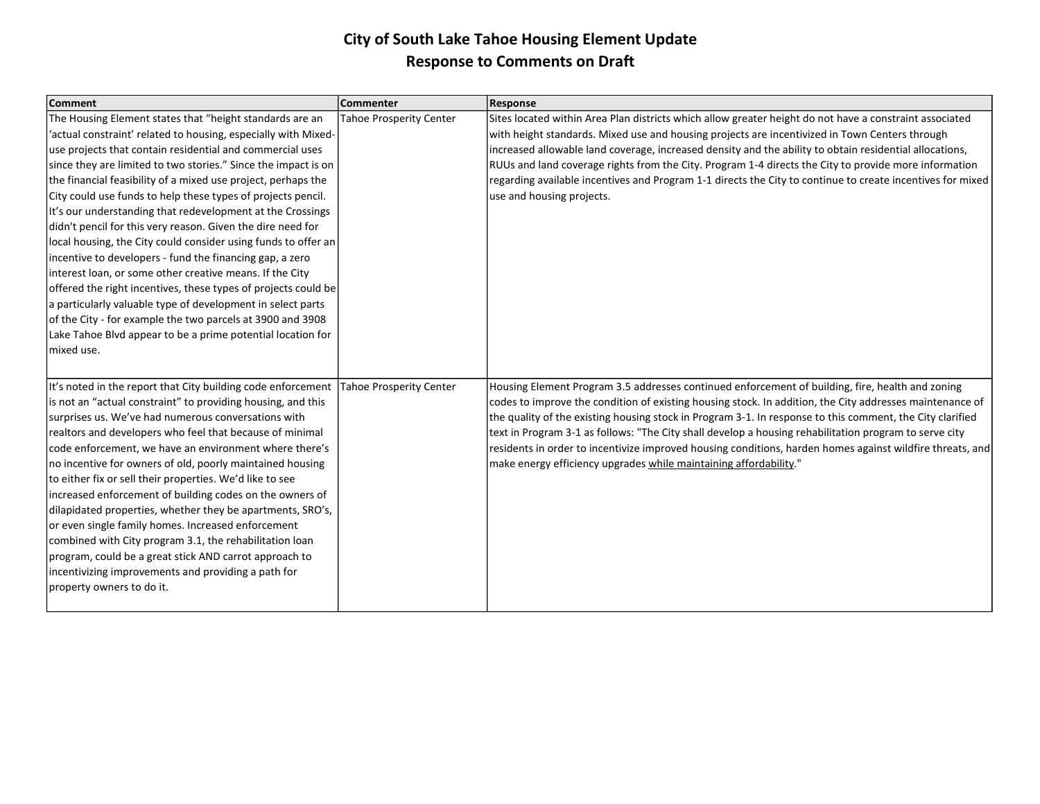| <b>Comment</b>                                                 | <b>Commenter</b>               | <b>Response</b>                                                                                            |
|----------------------------------------------------------------|--------------------------------|------------------------------------------------------------------------------------------------------------|
| The Housing Element states that "height standards are an       | <b>Tahoe Prosperity Center</b> | Sites located within Area Plan districts which allow greater height do not have a constraint associated    |
| 'actual constraint' related to housing, especially with Mixed- |                                | with height standards. Mixed use and housing projects are incentivized in Town Centers through             |
| use projects that contain residential and commercial uses      |                                | increased allowable land coverage, increased density and the ability to obtain residential allocations,    |
| since they are limited to two stories." Since the impact is on |                                | RUUs and land coverage rights from the City. Program 1-4 directs the City to provide more information      |
| the financial feasibility of a mixed use project, perhaps the  |                                | regarding available incentives and Program 1-1 directs the City to continue to create incentives for mixed |
| City could use funds to help these types of projects pencil.   |                                | use and housing projects.                                                                                  |
| It's our understanding that redevelopment at the Crossings     |                                |                                                                                                            |
| didn't pencil for this very reason. Given the dire need for    |                                |                                                                                                            |
| local housing, the City could consider using funds to offer an |                                |                                                                                                            |
| incentive to developers - fund the financing gap, a zero       |                                |                                                                                                            |
| interest loan, or some other creative means. If the City       |                                |                                                                                                            |
| offered the right incentives, these types of projects could be |                                |                                                                                                            |
| a particularly valuable type of development in select parts    |                                |                                                                                                            |
| of the City - for example the two parcels at 3900 and 3908     |                                |                                                                                                            |
| Lake Tahoe Blvd appear to be a prime potential location for    |                                |                                                                                                            |
| mixed use.                                                     |                                |                                                                                                            |
|                                                                |                                |                                                                                                            |
| It's noted in the report that City building code enforcement   | <b>Tahoe Prosperity Center</b> | Housing Element Program 3.5 addresses continued enforcement of building, fire, health and zoning           |
| is not an "actual constraint" to providing housing, and this   |                                | codes to improve the condition of existing housing stock. In addition, the City addresses maintenance of   |
| surprises us. We've had numerous conversations with            |                                | the quality of the existing housing stock in Program 3-1. In response to this comment, the City clarified  |
| realtors and developers who feel that because of minimal       |                                | text in Program 3-1 as follows: "The City shall develop a housing rehabilitation program to serve city     |
| code enforcement, we have an environment where there's         |                                | residents in order to incentivize improved housing conditions, harden homes against wildfire threats, and  |
| no incentive for owners of old, poorly maintained housing      |                                | make energy efficiency upgrades while maintaining affordability."                                          |
| to either fix or sell their properties. We'd like to see       |                                |                                                                                                            |
| increased enforcement of building codes on the owners of       |                                |                                                                                                            |
| dilapidated properties, whether they be apartments, SRO's,     |                                |                                                                                                            |
| or even single family homes. Increased enforcement             |                                |                                                                                                            |
| combined with City program 3.1, the rehabilitation loan        |                                |                                                                                                            |
| program, could be a great stick AND carrot approach to         |                                |                                                                                                            |
| incentivizing improvements and providing a path for            |                                |                                                                                                            |
| property owners to do it.                                      |                                |                                                                                                            |
|                                                                |                                |                                                                                                            |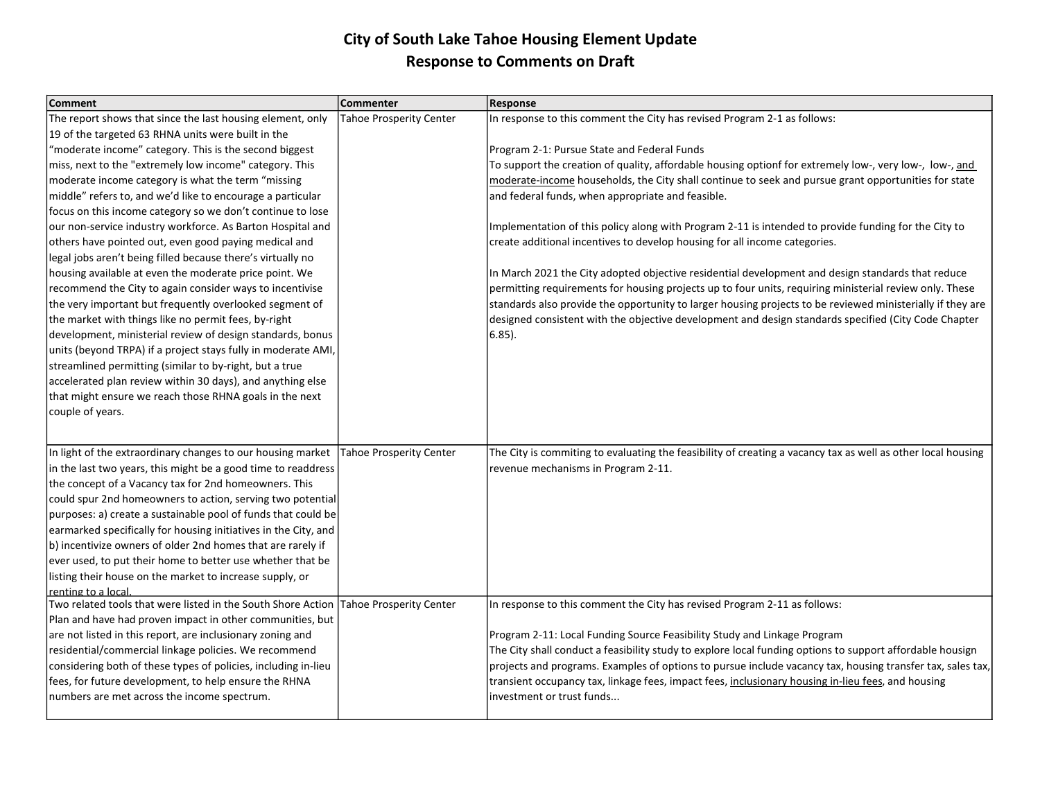| <b>Comment</b>                                                  | Commenter                      | <b>Response</b>                                                                                              |
|-----------------------------------------------------------------|--------------------------------|--------------------------------------------------------------------------------------------------------------|
| The report shows that since the last housing element, only      | <b>Tahoe Prosperity Center</b> | In response to this comment the City has revised Program 2-1 as follows:                                     |
| 19 of the targeted 63 RHNA units were built in the              |                                |                                                                                                              |
| 'moderate income" category. This is the second biggest          |                                | Program 2-1: Pursue State and Federal Funds                                                                  |
| miss, next to the "extremely low income" category. This         |                                | To support the creation of quality, affordable housing optionf for extremely low-, very low-, low-, and      |
| moderate income category is what the term "missing              |                                | moderate-income households, the City shall continue to seek and pursue grant opportunities for state         |
| middle" refers to, and we'd like to encourage a particular      |                                | and federal funds, when appropriate and feasible.                                                            |
| focus on this income category so we don't continue to lose      |                                |                                                                                                              |
| our non-service industry workforce. As Barton Hospital and      |                                | Implementation of this policy along with Program 2-11 is intended to provide funding for the City to         |
| others have pointed out, even good paying medical and           |                                | create additional incentives to develop housing for all income categories.                                   |
| legal jobs aren't being filled because there's virtually no     |                                |                                                                                                              |
| housing available at even the moderate price point. We          |                                | In March 2021 the City adopted objective residential development and design standards that reduce            |
| recommend the City to again consider ways to incentivise        |                                | permitting requirements for housing projects up to four units, requiring ministerial review only. These      |
| the very important but frequently overlooked segment of         |                                | standards also provide the opportunity to larger housing projects to be reviewed ministerially if they are   |
| the market with things like no permit fees, by-right            |                                | designed consistent with the objective development and design standards specified (City Code Chapter         |
| development, ministerial review of design standards, bonus      |                                | $6.85$ ).                                                                                                    |
| units (beyond TRPA) if a project stays fully in moderate AMI,   |                                |                                                                                                              |
| streamlined permitting (similar to by-right, but a true         |                                |                                                                                                              |
| accelerated plan review within 30 days), and anything else      |                                |                                                                                                              |
| that might ensure we reach those RHNA goals in the next         |                                |                                                                                                              |
| couple of years.                                                |                                |                                                                                                              |
|                                                                 |                                |                                                                                                              |
|                                                                 |                                |                                                                                                              |
| In light of the extraordinary changes to our housing market     | <b>Tahoe Prosperity Center</b> | The City is commiting to evaluating the feasibility of creating a vacancy tax as well as other local housing |
| in the last two years, this might be a good time to readdress   |                                | revenue mechanisms in Program 2-11.                                                                          |
| the concept of a Vacancy tax for 2nd homeowners. This           |                                |                                                                                                              |
| could spur 2nd homeowners to action, serving two potential      |                                |                                                                                                              |
| purposes: a) create a sustainable pool of funds that could be   |                                |                                                                                                              |
| earmarked specifically for housing initiatives in the City, and |                                |                                                                                                              |
| b) incentivize owners of older 2nd homes that are rarely if     |                                |                                                                                                              |
| ever used, to put their home to better use whether that be      |                                |                                                                                                              |
| listing their house on the market to increase supply, or        |                                |                                                                                                              |
| renting to a local                                              |                                |                                                                                                              |
| Two related tools that were listed in the South Shore Action    | <b>Tahoe Prosperity Center</b> | In response to this comment the City has revised Program 2-11 as follows:                                    |
| Plan and have had proven impact in other communities, but       |                                |                                                                                                              |
| are not listed in this report, are inclusionary zoning and      |                                | Program 2-11: Local Funding Source Feasibility Study and Linkage Program                                     |
| residential/commercial linkage policies. We recommend           |                                | The City shall conduct a feasibility study to explore local funding options to support affordable housign    |
| considering both of these types of policies, including in-lieu  |                                | projects and programs. Examples of options to pursue include vacancy tax, housing transfer tax, sales tax,   |
| fees, for future development, to help ensure the RHNA           |                                | transient occupancy tax, linkage fees, impact fees, inclusionary housing in-lieu fees, and housing           |
| numbers are met across the income spectrum.                     |                                | investment or trust funds                                                                                    |
|                                                                 |                                |                                                                                                              |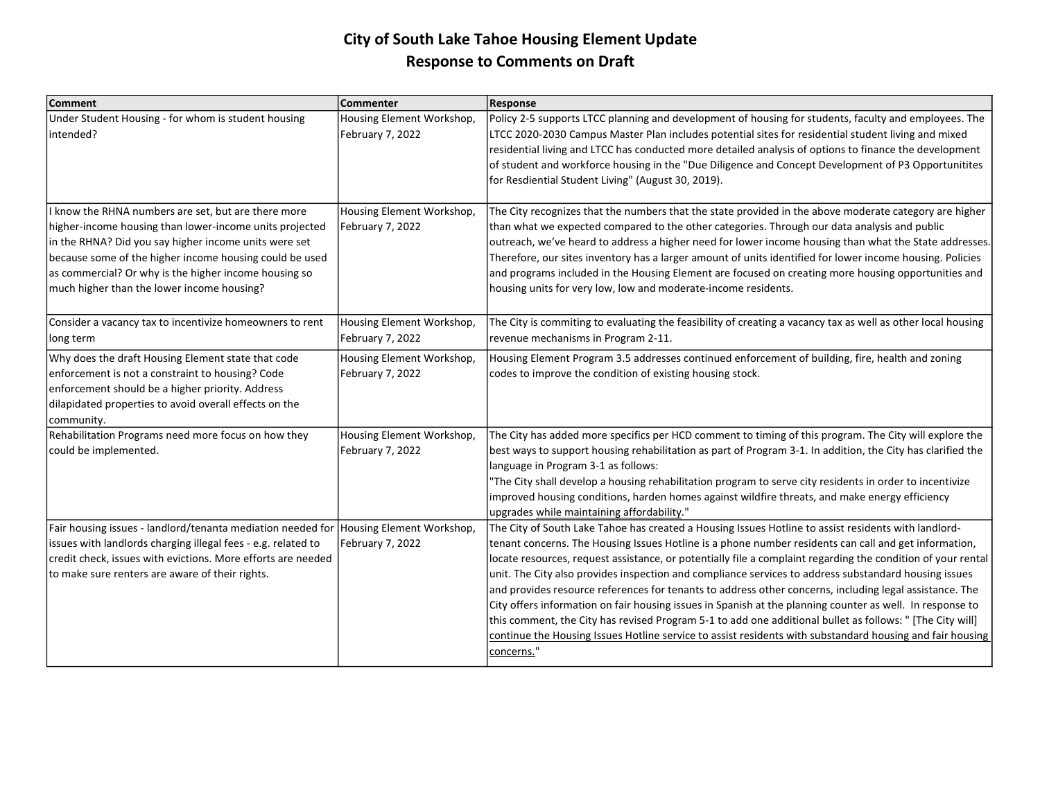| <b>Comment</b>                                                                                                                                                                                                                                                                                                                            | Commenter                                     | <b>Response</b>                                                                                                                                                                                                                                                                                                                                                                                                                                                                                                                                                                                                                                                                                                                                                                                                                                                                                        |
|-------------------------------------------------------------------------------------------------------------------------------------------------------------------------------------------------------------------------------------------------------------------------------------------------------------------------------------------|-----------------------------------------------|--------------------------------------------------------------------------------------------------------------------------------------------------------------------------------------------------------------------------------------------------------------------------------------------------------------------------------------------------------------------------------------------------------------------------------------------------------------------------------------------------------------------------------------------------------------------------------------------------------------------------------------------------------------------------------------------------------------------------------------------------------------------------------------------------------------------------------------------------------------------------------------------------------|
| Under Student Housing - for whom is student housing<br>intended?                                                                                                                                                                                                                                                                          | Housing Element Workshop,<br>February 7, 2022 | Policy 2-5 supports LTCC planning and development of housing for students, faculty and employees. The<br>LTCC 2020-2030 Campus Master Plan includes potential sites for residential student living and mixed<br>residential living and LTCC has conducted more detailed analysis of options to finance the development<br>of student and workforce housing in the "Due Diligence and Concept Development of P3 Opportunitites<br>for Resdiential Student Living" (August 30, 2019).                                                                                                                                                                                                                                                                                                                                                                                                                    |
| I know the RHNA numbers are set, but are there more<br>higher-income housing than lower-income units projected<br>in the RHNA? Did you say higher income units were set<br>because some of the higher income housing could be used<br>as commercial? Or why is the higher income housing so<br>much higher than the lower income housing? | Housing Element Workshop,<br>February 7, 2022 | The City recognizes that the numbers that the state provided in the above moderate category are higher<br>than what we expected compared to the other categories. Through our data analysis and public<br>outreach, we've heard to address a higher need for lower income housing than what the State addresses.<br>Therefore, our sites inventory has a larger amount of units identified for lower income housing. Policies<br>and programs included in the Housing Element are focused on creating more housing opportunities and<br>housing units for very low, low and moderate-income residents.                                                                                                                                                                                                                                                                                                 |
| Consider a vacancy tax to incentivize homeowners to rent<br>long term                                                                                                                                                                                                                                                                     | Housing Element Workshop,<br>February 7, 2022 | The City is commiting to evaluating the feasibility of creating a vacancy tax as well as other local housing<br>revenue mechanisms in Program 2-11.                                                                                                                                                                                                                                                                                                                                                                                                                                                                                                                                                                                                                                                                                                                                                    |
| Why does the draft Housing Element state that code<br>enforcement is not a constraint to housing? Code<br>enforcement should be a higher priority. Address<br>dilapidated properties to avoid overall effects on the<br>community.                                                                                                        | Housing Element Workshop,<br>February 7, 2022 | Housing Element Program 3.5 addresses continued enforcement of building, fire, health and zoning<br>codes to improve the condition of existing housing stock.                                                                                                                                                                                                                                                                                                                                                                                                                                                                                                                                                                                                                                                                                                                                          |
| Rehabilitation Programs need more focus on how they<br>could be implemented.                                                                                                                                                                                                                                                              | Housing Element Workshop,<br>February 7, 2022 | The City has added more specifics per HCD comment to timing of this program. The City will explore the<br>best ways to support housing rehabilitation as part of Program 3-1. In addition, the City has clarified the<br>language in Program 3-1 as follows:<br>The City shall develop a housing rehabilitation program to serve city residents in order to incentivize<br>improved housing conditions, harden homes against wildfire threats, and make energy efficiency<br>upgrades while maintaining affordability."                                                                                                                                                                                                                                                                                                                                                                                |
| Fair housing issues - landlord/tenanta mediation needed for Housing Element Workshop,<br>issues with landlords charging illegal fees - e.g. related to<br>credit check, issues with evictions. More efforts are needed<br>to make sure renters are aware of their rights.                                                                 | February 7, 2022                              | The City of South Lake Tahoe has created a Housing Issues Hotline to assist residents with landlord-<br>tenant concerns. The Housing Issues Hotline is a phone number residents can call and get information,<br>locate resources, request assistance, or potentially file a complaint regarding the condition of your rental<br>unit. The City also provides inspection and compliance services to address substandard housing issues<br>and provides resource references for tenants to address other concerns, including legal assistance. The<br>City offers information on fair housing issues in Spanish at the planning counter as well. In response to<br>this comment, the City has revised Program 5-1 to add one additional bullet as follows: " [The City will]<br>continue the Housing Issues Hotline service to assist residents with substandard housing and fair housing<br>concerns." |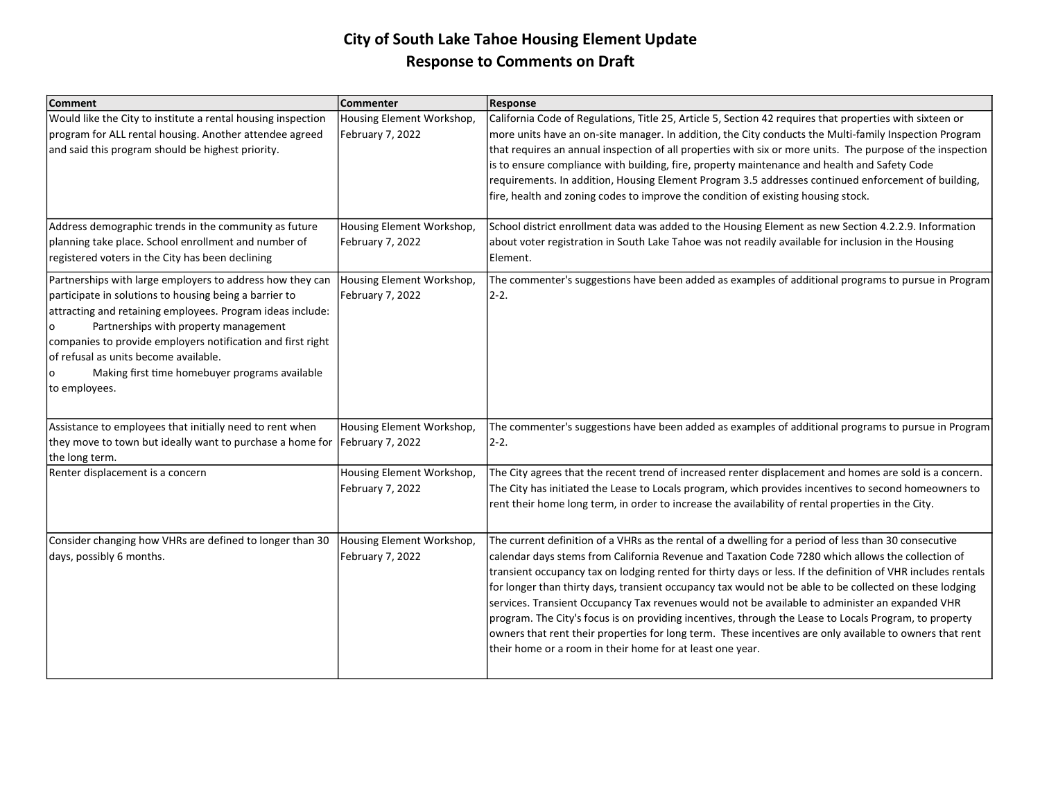| <b>Comment</b>                                                                                                                                                                                                                                                                                                                                                                                        | Commenter                                     | Response                                                                                                                                                                                                                                                                                                                                                                                                                                                                                                                                                                                                                                                                                                                                                                                                                    |
|-------------------------------------------------------------------------------------------------------------------------------------------------------------------------------------------------------------------------------------------------------------------------------------------------------------------------------------------------------------------------------------------------------|-----------------------------------------------|-----------------------------------------------------------------------------------------------------------------------------------------------------------------------------------------------------------------------------------------------------------------------------------------------------------------------------------------------------------------------------------------------------------------------------------------------------------------------------------------------------------------------------------------------------------------------------------------------------------------------------------------------------------------------------------------------------------------------------------------------------------------------------------------------------------------------------|
| Would like the City to institute a rental housing inspection<br>program for ALL rental housing. Another attendee agreed<br>and said this program should be highest priority.                                                                                                                                                                                                                          | Housing Element Workshop,<br>February 7, 2022 | California Code of Regulations, Title 25, Article 5, Section 42 requires that properties with sixteen or<br>more units have an on-site manager. In addition, the City conducts the Multi-family Inspection Program<br>that requires an annual inspection of all properties with six or more units. The purpose of the inspection<br>is to ensure compliance with building, fire, property maintenance and health and Safety Code<br>requirements. In addition, Housing Element Program 3.5 addresses continued enforcement of building,<br>fire, health and zoning codes to improve the condition of existing housing stock.                                                                                                                                                                                                |
| Address demographic trends in the community as future<br>planning take place. School enrollment and number of<br>registered voters in the City has been declining                                                                                                                                                                                                                                     | Housing Element Workshop,<br>February 7, 2022 | School district enrollment data was added to the Housing Element as new Section 4.2.2.9. Information<br>about voter registration in South Lake Tahoe was not readily available for inclusion in the Housing<br>Element.                                                                                                                                                                                                                                                                                                                                                                                                                                                                                                                                                                                                     |
| Partnerships with large employers to address how they can<br>participate in solutions to housing being a barrier to<br>attracting and retaining employees. Program ideas include:<br>Partnerships with property management<br>companies to provide employers notification and first right<br>of refusal as units become available.<br>Making first time homebuyer programs available<br>to employees. | Housing Element Workshop,<br>February 7, 2022 | The commenter's suggestions have been added as examples of additional programs to pursue in Program<br>$2 - 2$ .                                                                                                                                                                                                                                                                                                                                                                                                                                                                                                                                                                                                                                                                                                            |
| Assistance to employees that initially need to rent when<br>they move to town but ideally want to purchase a home for<br>the long term.                                                                                                                                                                                                                                                               | Housing Element Workshop,<br>February 7, 2022 | The commenter's suggestions have been added as examples of additional programs to pursue in Program<br>2-2.                                                                                                                                                                                                                                                                                                                                                                                                                                                                                                                                                                                                                                                                                                                 |
| Renter displacement is a concern                                                                                                                                                                                                                                                                                                                                                                      | Housing Element Workshop,<br>February 7, 2022 | The City agrees that the recent trend of increased renter displacement and homes are sold is a concern.<br>The City has initiated the Lease to Locals program, which provides incentives to second homeowners to<br>rent their home long term, in order to increase the availability of rental properties in the City.                                                                                                                                                                                                                                                                                                                                                                                                                                                                                                      |
| Consider changing how VHRs are defined to longer than 30<br>days, possibly 6 months.                                                                                                                                                                                                                                                                                                                  | Housing Element Workshop,<br>February 7, 2022 | The current definition of a VHRs as the rental of a dwelling for a period of less than 30 consecutive<br>calendar days stems from California Revenue and Taxation Code 7280 which allows the collection of<br>transient occupancy tax on lodging rented for thirty days or less. If the definition of VHR includes rentals<br>for longer than thirty days, transient occupancy tax would not be able to be collected on these lodging<br>services. Transient Occupancy Tax revenues would not be available to administer an expanded VHR<br>program. The City's focus is on providing incentives, through the Lease to Locals Program, to property<br>owners that rent their properties for long term. These incentives are only available to owners that rent<br>their home or a room in their home for at least one year. |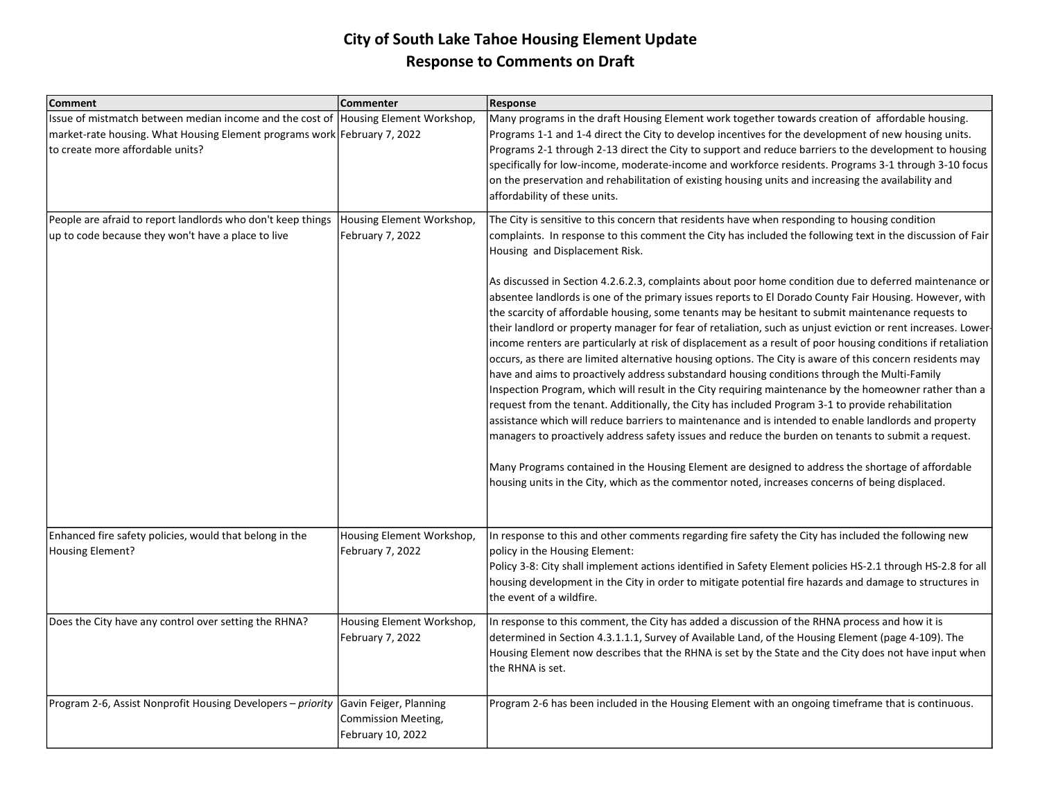| <b>Comment</b>                                                                                                                                                                                     | Commenter                                                          | <b>Response</b>                                                                                                                                                                                                                                                                                                                                                                                                                                                                                                                                                                                                                                                                                                                                                                                                                                                             |
|----------------------------------------------------------------------------------------------------------------------------------------------------------------------------------------------------|--------------------------------------------------------------------|-----------------------------------------------------------------------------------------------------------------------------------------------------------------------------------------------------------------------------------------------------------------------------------------------------------------------------------------------------------------------------------------------------------------------------------------------------------------------------------------------------------------------------------------------------------------------------------------------------------------------------------------------------------------------------------------------------------------------------------------------------------------------------------------------------------------------------------------------------------------------------|
| Issue of mistmatch between median income and the cost of Housing Element Workshop,<br>market-rate housing. What Housing Element programs work February 7, 2022<br>to create more affordable units? |                                                                    | Many programs in the draft Housing Element work together towards creation of affordable housing.<br>Programs 1-1 and 1-4 direct the City to develop incentives for the development of new housing units.<br>Programs 2-1 through 2-13 direct the City to support and reduce barriers to the development to housing<br>specifically for low-income, moderate-income and workforce residents. Programs 3-1 through 3-10 focus<br>on the preservation and rehabilitation of existing housing units and increasing the availability and<br>affordability of these units.                                                                                                                                                                                                                                                                                                        |
| People are afraid to report landlords who don't keep things<br>up to code because they won't have a place to live                                                                                  | Housing Element Workshop,<br>February 7, 2022                      | The City is sensitive to this concern that residents have when responding to housing condition<br>complaints. In response to this comment the City has included the following text in the discussion of Fair<br>Housing and Displacement Risk.<br>As discussed in Section 4.2.6.2.3, complaints about poor home condition due to deferred maintenance or<br>absentee landlords is one of the primary issues reports to El Dorado County Fair Housing. However, with<br>the scarcity of affordable housing, some tenants may be hesitant to submit maintenance requests to                                                                                                                                                                                                                                                                                                   |
|                                                                                                                                                                                                    |                                                                    | their landlord or property manager for fear of retaliation, such as unjust eviction or rent increases. Lower-<br>income renters are particularly at risk of displacement as a result of poor housing conditions if retaliation<br>occurs, as there are limited alternative housing options. The City is aware of this concern residents may<br>have and aims to proactively address substandard housing conditions through the Multi-Family<br>Inspection Program, which will result in the City requiring maintenance by the homeowner rather than a<br>request from the tenant. Additionally, the City has included Program 3-1 to provide rehabilitation<br>assistance which will reduce barriers to maintenance and is intended to enable landlords and property<br>managers to proactively address safety issues and reduce the burden on tenants to submit a request. |
|                                                                                                                                                                                                    |                                                                    | Many Programs contained in the Housing Element are designed to address the shortage of affordable<br>housing units in the City, which as the commentor noted, increases concerns of being displaced.                                                                                                                                                                                                                                                                                                                                                                                                                                                                                                                                                                                                                                                                        |
| Enhanced fire safety policies, would that belong in the<br><b>Housing Element?</b>                                                                                                                 | Housing Element Workshop,<br>February 7, 2022                      | In response to this and other comments regarding fire safety the City has included the following new<br>policy in the Housing Element:<br>Policy 3-8: City shall implement actions identified in Safety Element policies HS-2.1 through HS-2.8 for all<br>housing development in the City in order to mitigate potential fire hazards and damage to structures in<br>lthe event of a wildfire.                                                                                                                                                                                                                                                                                                                                                                                                                                                                              |
| Does the City have any control over setting the RHNA?                                                                                                                                              | Housing Element Workshop,<br>February 7, 2022                      | In response to this comment, the City has added a discussion of the RHNA process and how it is<br>determined in Section 4.3.1.1.1, Survey of Available Land, of the Housing Element (page 4-109). The<br>Housing Element now describes that the RHNA is set by the State and the City does not have input when<br>the RHNA is set.                                                                                                                                                                                                                                                                                                                                                                                                                                                                                                                                          |
| Program 2-6, Assist Nonprofit Housing Developers - priority                                                                                                                                        | Gavin Feiger, Planning<br>Commission Meeting,<br>February 10, 2022 | Program 2-6 has been included in the Housing Element with an ongoing timeframe that is continuous.                                                                                                                                                                                                                                                                                                                                                                                                                                                                                                                                                                                                                                                                                                                                                                          |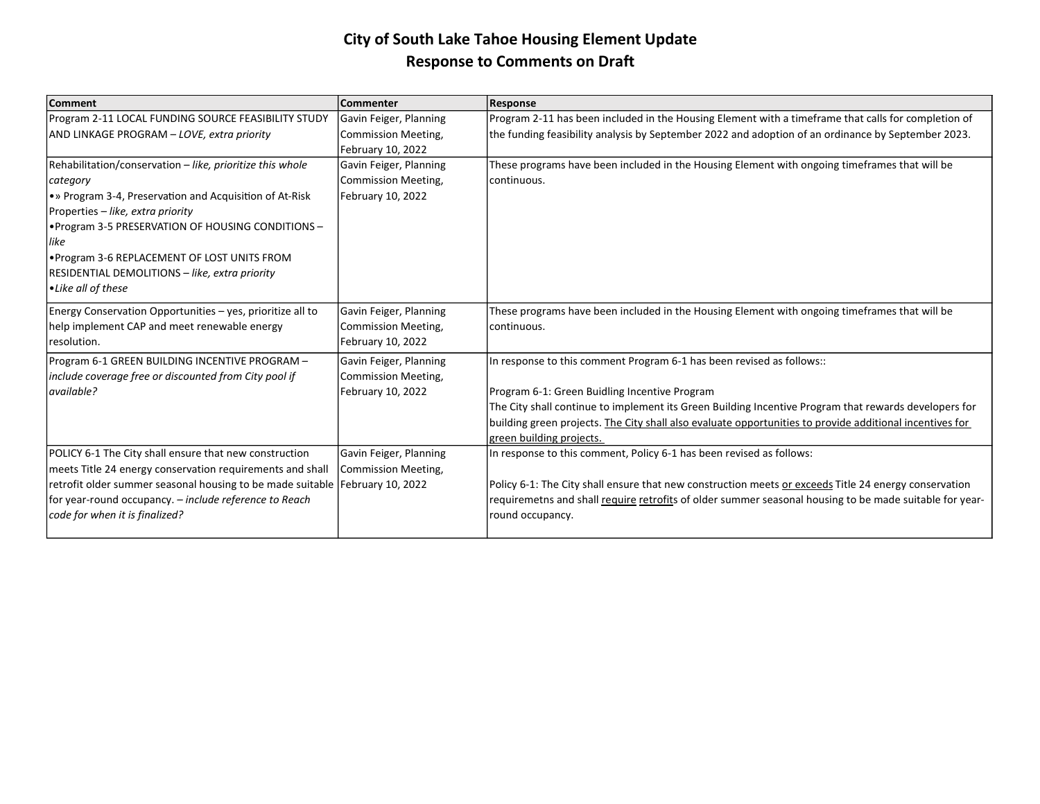| <b>Comment</b>                                                                 | Commenter              | <b>Response</b>                                                                                          |
|--------------------------------------------------------------------------------|------------------------|----------------------------------------------------------------------------------------------------------|
| Program 2-11 LOCAL FUNDING SOURCE FEASIBILITY STUDY                            | Gavin Feiger, Planning | Program 2-11 has been included in the Housing Element with a timeframe that calls for completion of      |
| AND LINKAGE PROGRAM - LOVE, extra priority                                     | Commission Meeting,    | the funding feasibility analysis by September 2022 and adoption of an ordinance by September 2023.       |
|                                                                                | February 10, 2022      |                                                                                                          |
| Rehabilitation/conservation - like, prioritize this whole                      | Gavin Feiger, Planning | These programs have been included in the Housing Element with ongoing timeframes that will be            |
| category                                                                       | Commission Meeting,    | Icontinuous.                                                                                             |
| • » Program 3-4, Preservation and Acquisition of At-Risk                       | February 10, 2022      |                                                                                                          |
| Properties - like, extra priority                                              |                        |                                                                                                          |
| . Program 3-5 PRESERVATION OF HOUSING CONDITIONS -                             |                        |                                                                                                          |
| like                                                                           |                        |                                                                                                          |
| . Program 3-6 REPLACEMENT OF LOST UNITS FROM                                   |                        |                                                                                                          |
| RESIDENTIAL DEMOLITIONS - like, extra priority                                 |                        |                                                                                                          |
| • Like all of these                                                            |                        |                                                                                                          |
| Energy Conservation Opportunities - yes, prioritize all to                     | Gavin Feiger, Planning | These programs have been included in the Housing Element with ongoing timeframes that will be            |
| help implement CAP and meet renewable energy                                   | Commission Meeting,    | Icontinuous.                                                                                             |
| resolution.                                                                    | February 10, 2022      |                                                                                                          |
| Program 6-1 GREEN BUILDING INCENTIVE PROGRAM -                                 | Gavin Feiger, Planning | In response to this comment Program 6-1 has been revised as follows::                                    |
| include coverage free or discounted from City pool if                          | Commission Meeting,    |                                                                                                          |
| available?                                                                     | February 10, 2022      | Program 6-1: Green Buidling Incentive Program                                                            |
|                                                                                |                        | The City shall continue to implement its Green Building Incentive Program that rewards developers for    |
|                                                                                |                        | building green projects. The City shall also evaluate opportunities to provide additional incentives for |
|                                                                                |                        | green building projects.                                                                                 |
| POLICY 6-1 The City shall ensure that new construction                         | Gavin Feiger, Planning | In response to this comment, Policy 6-1 has been revised as follows:                                     |
| meets Title 24 energy conservation requirements and shall                      | Commission Meeting,    |                                                                                                          |
| retrofit older summer seasonal housing to be made suitable   February 10, 2022 |                        | Policy 6-1: The City shall ensure that new construction meets or exceeds Title 24 energy conservation    |
| for year-round occupancy. – include reference to Reach                         |                        | requiremetns and shall require retrofits of older summer seasonal housing to be made suitable for year-  |
| code for when it is finalized?                                                 |                        | round occupancy.                                                                                         |
|                                                                                |                        |                                                                                                          |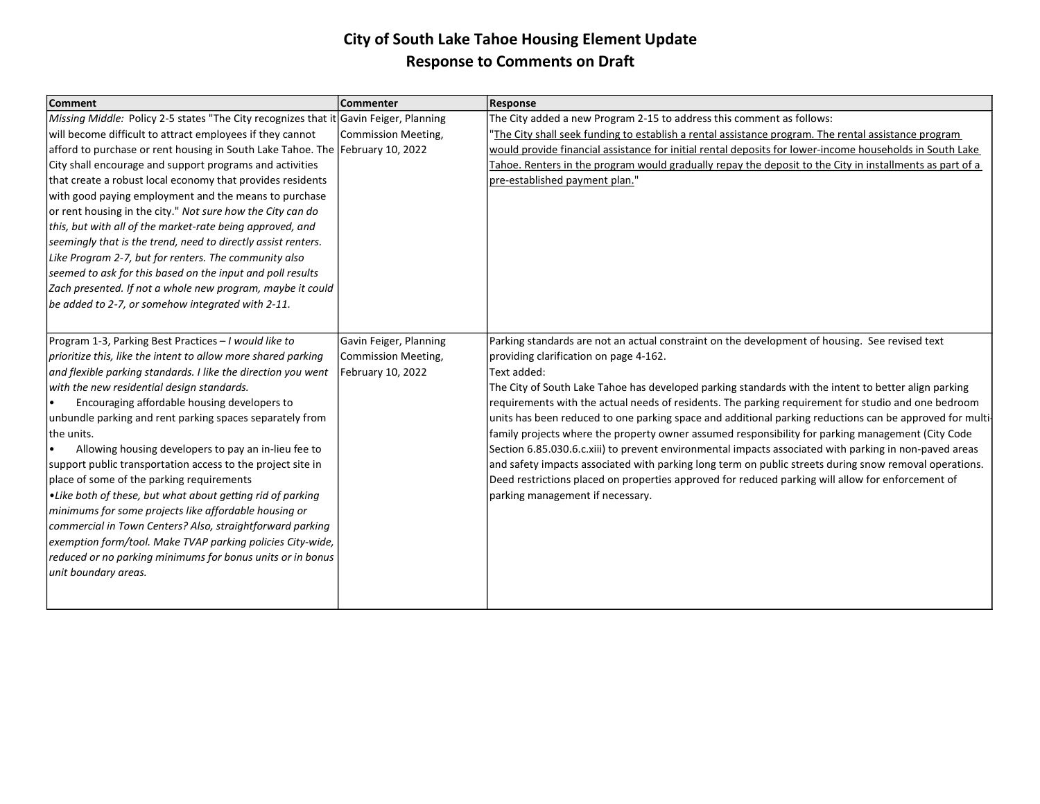| <b>Comment</b>                                                                        | <b>Commenter</b>       | Response                                                                                                 |
|---------------------------------------------------------------------------------------|------------------------|----------------------------------------------------------------------------------------------------------|
| Missing Middle: Policy 2-5 states "The City recognizes that it Gavin Feiger, Planning |                        | The City added a new Program 2-15 to address this comment as follows:                                    |
| will become difficult to attract employees if they cannot                             | Commission Meeting,    | The City shall seek funding to establish a rental assistance program. The rental assistance program      |
| afford to purchase or rent housing in South Lake Tahoe. The February 10, 2022         |                        | would provide financial assistance for initial rental deposits for lower-income households in South Lake |
| City shall encourage and support programs and activities                              |                        | Tahoe. Renters in the program would gradually repay the deposit to the City in installments as part of a |
| that create a robust local economy that provides residents                            |                        | pre-established payment plan."                                                                           |
| with good paying employment and the means to purchase                                 |                        |                                                                                                          |
| or rent housing in the city." Not sure how the City can do                            |                        |                                                                                                          |
| this, but with all of the market-rate being approved, and                             |                        |                                                                                                          |
| seemingly that is the trend, need to directly assist renters.                         |                        |                                                                                                          |
| Like Program 2-7, but for renters. The community also                                 |                        |                                                                                                          |
| seemed to ask for this based on the input and poll results                            |                        |                                                                                                          |
| Zach presented. If not a whole new program, maybe it could                            |                        |                                                                                                          |
| be added to 2-7, or somehow integrated with 2-11.                                     |                        |                                                                                                          |
|                                                                                       |                        |                                                                                                          |
| Program 1-3, Parking Best Practices - I would like to                                 | Gavin Feiger, Planning | Parking standards are not an actual constraint on the development of housing. See revised text           |
| prioritize this, like the intent to allow more shared parking                         | Commission Meeting,    | providing clarification on page 4-162.                                                                   |
| and flexible parking standards. I like the direction you went                         | February 10, 2022      | Text added:                                                                                              |
| with the new residential design standards.                                            |                        | The City of South Lake Tahoe has developed parking standards with the intent to better align parking     |
| Encouraging affordable housing developers to                                          |                        | requirements with the actual needs of residents. The parking requirement for studio and one bedroom      |
| unbundle parking and rent parking spaces separately from                              |                        | units has been reduced to one parking space and additional parking reductions can be approved for multi- |
| the units.                                                                            |                        | family projects where the property owner assumed responsibility for parking management (City Code        |
| Allowing housing developers to pay an in-lieu fee to                                  |                        | Section 6.85.030.6.c.xiii) to prevent environmental impacts associated with parking in non-paved areas   |
| support public transportation access to the project site in                           |                        | and safety impacts associated with parking long term on public streets during snow removal operations.   |
| place of some of the parking requirements                                             |                        | Deed restrictions placed on properties approved for reduced parking will allow for enforcement of        |
| •Like both of these, but what about getting rid of parking                            |                        | parking management if necessary.                                                                         |
| minimums for some projects like affordable housing or                                 |                        |                                                                                                          |
| commercial in Town Centers? Also, straightforward parking                             |                        |                                                                                                          |
| exemption form/tool. Make TVAP parking policies City-wide,                            |                        |                                                                                                          |
| reduced or no parking minimums for bonus units or in bonus                            |                        |                                                                                                          |
| unit boundary areas.                                                                  |                        |                                                                                                          |
|                                                                                       |                        |                                                                                                          |
|                                                                                       |                        |                                                                                                          |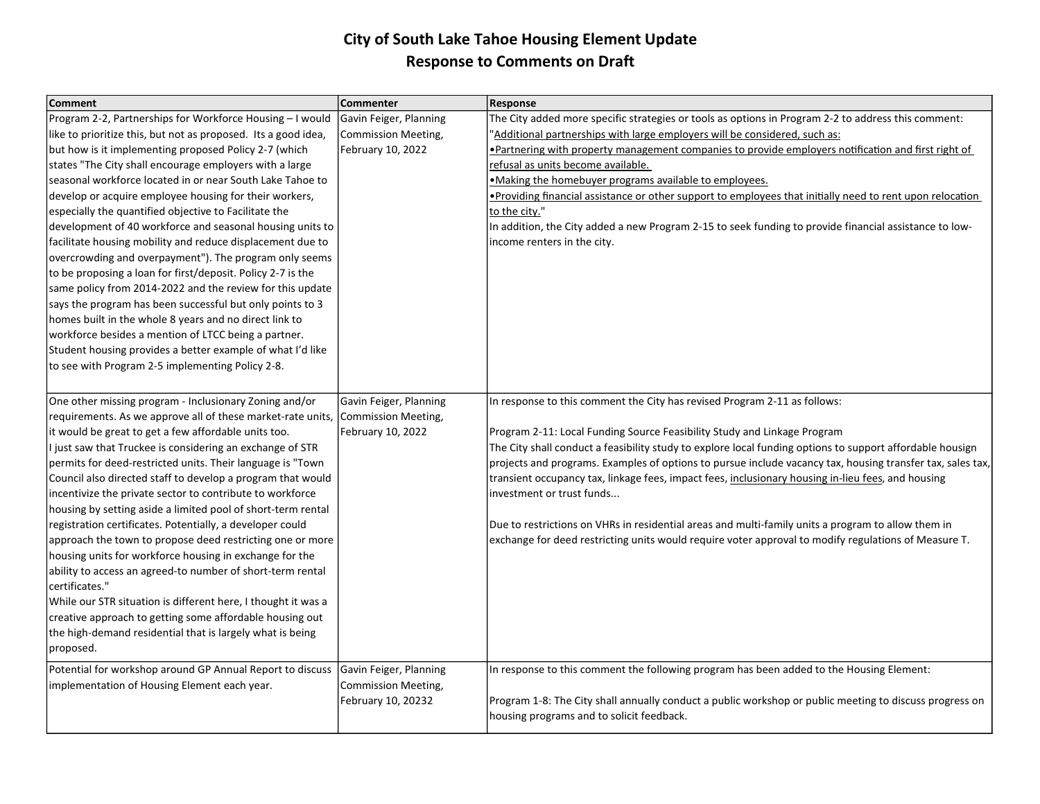| <b>Comment</b>                                                                                                                                                                                                                                                                                                                                                                                                                                                                                                                                                                                                                                                                                                                                                                                                                                                                                                                                                                                                                                    | Commenter                                                           | Response                                                                                                                                                                                                                                                                                                                                                                                                                                                                                                                                                                                                                                                                                                                          |
|---------------------------------------------------------------------------------------------------------------------------------------------------------------------------------------------------------------------------------------------------------------------------------------------------------------------------------------------------------------------------------------------------------------------------------------------------------------------------------------------------------------------------------------------------------------------------------------------------------------------------------------------------------------------------------------------------------------------------------------------------------------------------------------------------------------------------------------------------------------------------------------------------------------------------------------------------------------------------------------------------------------------------------------------------|---------------------------------------------------------------------|-----------------------------------------------------------------------------------------------------------------------------------------------------------------------------------------------------------------------------------------------------------------------------------------------------------------------------------------------------------------------------------------------------------------------------------------------------------------------------------------------------------------------------------------------------------------------------------------------------------------------------------------------------------------------------------------------------------------------------------|
| Program 2-2, Partnerships for Workforce Housing - I would<br>like to prioritize this, but not as proposed. Its a good idea,<br>but how is it implementing proposed Policy 2-7 (which<br>states "The City shall encourage employers with a large<br>seasonal workforce located in or near South Lake Tahoe to<br>develop or acquire employee housing for their workers,<br>especially the quantified objective to Facilitate the<br>development of 40 workforce and seasonal housing units to<br>facilitate housing mobility and reduce displacement due to<br>overcrowding and overpayment"). The program only seems<br>to be proposing a loan for first/deposit. Policy 2-7 is the<br>same policy from 2014-2022 and the review for this update<br>says the program has been successful but only points to 3<br>homes built in the whole 8 years and no direct link to<br>workforce besides a mention of LTCC being a partner.<br>Student housing provides a better example of what I'd like<br>to see with Program 2-5 implementing Policy 2-8. | Gavin Feiger, Planning<br>Commission Meeting,<br>February 10, 2022  | The City added more specific strategies or tools as options in Program 2-2 to address this comment:<br>'Additional partnerships with large employers will be considered, such as:<br>• Partnering with property management companies to provide employers notification and first right of<br>refusal as units become available.<br>.Making the homebuyer programs available to employees.<br>• Providing financial assistance or other support to employees that initially need to rent upon relocation<br>to the city."<br>In addition, the City added a new Program 2-15 to seek funding to provide financial assistance to low-<br>income renters in the city.                                                                 |
| One other missing program - Inclusionary Zoning and/or<br>requirements. As we approve all of these market-rate units,<br>it would be great to get a few affordable units too.<br>I just saw that Truckee is considering an exchange of STR<br>permits for deed-restricted units. Their language is "Town<br>Council also directed staff to develop a program that would<br>incentivize the private sector to contribute to workforce<br>housing by setting aside a limited pool of short-term rental<br>registration certificates. Potentially, a developer could<br>approach the town to propose deed restricting one or more<br>housing units for workforce housing in exchange for the<br>ability to access an agreed-to number of short-term rental<br>certificates."<br>While our STR situation is different here, I thought it was a<br>creative approach to getting some affordable housing out<br>the high-demand residential that is largely what is being<br>proposed.                                                                  | Gavin Feiger, Planning<br>Commission Meeting,<br>February 10, 2022  | In response to this comment the City has revised Program 2-11 as follows:<br>Program 2-11: Local Funding Source Feasibility Study and Linkage Program<br>The City shall conduct a feasibility study to explore local funding options to support affordable housign<br>projects and programs. Examples of options to pursue include vacancy tax, housing transfer tax, sales tax,<br>transient occupancy tax, linkage fees, impact fees, inclusionary housing in-lieu fees, and housing<br>investment or trust funds<br>Due to restrictions on VHRs in residential areas and multi-family units a program to allow them in<br>exchange for deed restricting units would require voter approval to modify regulations of Measure T. |
| Potential for workshop around GP Annual Report to discuss<br>implementation of Housing Element each year.                                                                                                                                                                                                                                                                                                                                                                                                                                                                                                                                                                                                                                                                                                                                                                                                                                                                                                                                         | Gavin Feiger, Planning<br>Commission Meeting,<br>February 10, 20232 | In response to this comment the following program has been added to the Housing Element:<br>Program 1-8: The City shall annually conduct a public workshop or public meeting to discuss progress on<br>housing programs and to solicit feedback.                                                                                                                                                                                                                                                                                                                                                                                                                                                                                  |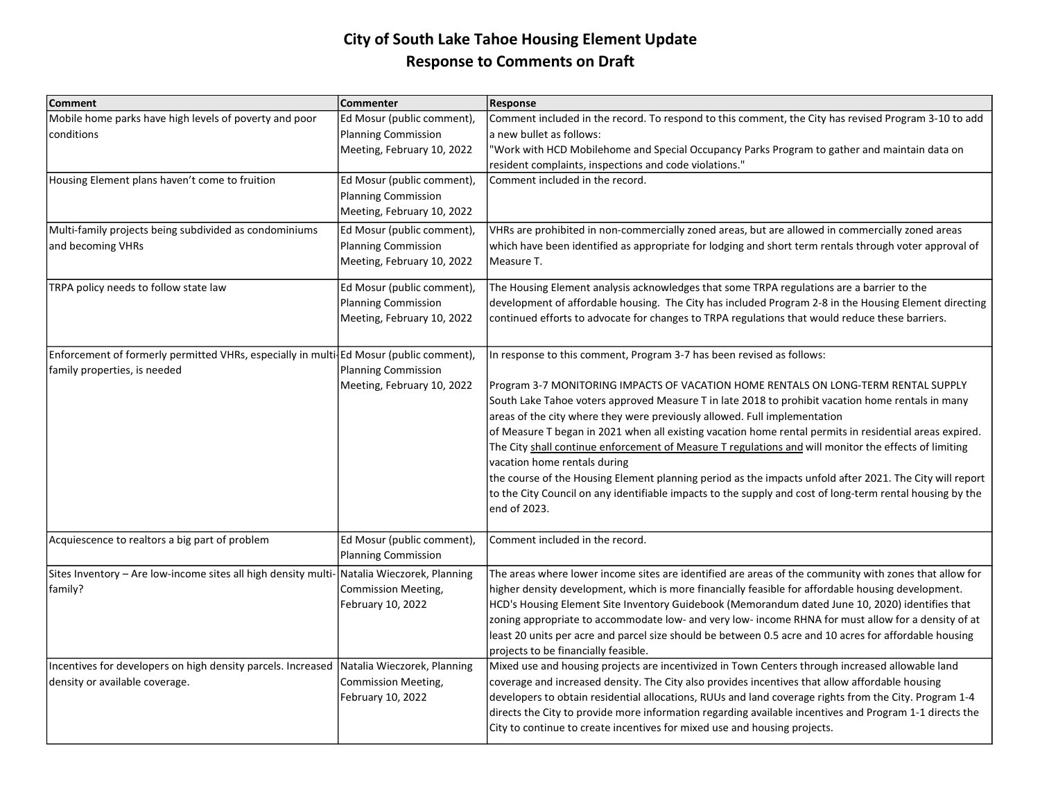| <b>Comment</b>                                                                                                         | <b>Commenter</b>                                                                       | <b>Response</b>                                                                                                                                                                                                                                                                                                                                                                                                                                                                                                                                                                                                                                                                                                                                                                                                                            |
|------------------------------------------------------------------------------------------------------------------------|----------------------------------------------------------------------------------------|--------------------------------------------------------------------------------------------------------------------------------------------------------------------------------------------------------------------------------------------------------------------------------------------------------------------------------------------------------------------------------------------------------------------------------------------------------------------------------------------------------------------------------------------------------------------------------------------------------------------------------------------------------------------------------------------------------------------------------------------------------------------------------------------------------------------------------------------|
| Mobile home parks have high levels of poverty and poor<br>conditions                                                   | Ed Mosur (public comment),<br><b>Planning Commission</b><br>Meeting, February 10, 2022 | Comment included in the record. To respond to this comment, the City has revised Program 3-10 to add<br>a new bullet as follows:<br>'Work with HCD Mobilehome and Special Occupancy Parks Program to gather and maintain data on<br>resident complaints, inspections and code violations."                                                                                                                                                                                                                                                                                                                                                                                                                                                                                                                                                 |
| Housing Element plans haven't come to fruition                                                                         | Ed Mosur (public comment)<br><b>Planning Commission</b><br>Meeting, February 10, 2022  | Comment included in the record.                                                                                                                                                                                                                                                                                                                                                                                                                                                                                                                                                                                                                                                                                                                                                                                                            |
| Multi-family projects being subdivided as condominiums<br>and becoming VHRs                                            | Ed Mosur (public comment),<br><b>Planning Commission</b><br>Meeting, February 10, 2022 | VHRs are prohibited in non-commercially zoned areas, but are allowed in commercially zoned areas<br>which have been identified as appropriate for lodging and short term rentals through voter approval of<br>Measure T.                                                                                                                                                                                                                                                                                                                                                                                                                                                                                                                                                                                                                   |
| TRPA policy needs to follow state law                                                                                  | Ed Mosur (public comment),<br><b>Planning Commission</b><br>Meeting, February 10, 2022 | The Housing Element analysis acknowledges that some TRPA regulations are a barrier to the<br>development of affordable housing. The City has included Program 2-8 in the Housing Element directing<br>continued efforts to advocate for changes to TRPA regulations that would reduce these barriers.                                                                                                                                                                                                                                                                                                                                                                                                                                                                                                                                      |
| Enforcement of formerly permitted VHRs, especially in multi Ed Mosur (public comment),<br>family properties, is needed | <b>Planning Commission</b><br>Meeting, February 10, 2022                               | In response to this comment, Program 3-7 has been revised as follows:<br>Program 3-7 MONITORING IMPACTS OF VACATION HOME RENTALS ON LONG-TERM RENTAL SUPPLY<br>South Lake Tahoe voters approved Measure T in late 2018 to prohibit vacation home rentals in many<br>areas of the city where they were previously allowed. Full implementation<br>of Measure T began in 2021 when all existing vacation home rental permits in residential areas expired.<br>The City shall continue enforcement of Measure T regulations and will monitor the effects of limiting<br>vacation home rentals during<br>the course of the Housing Element planning period as the impacts unfold after 2021. The City will report<br>to the City Council on any identifiable impacts to the supply and cost of long-term rental housing by the<br>end of 2023. |
| Acquiescence to realtors a big part of problem                                                                         | Ed Mosur (public comment),<br><b>Planning Commission</b>                               | Comment included in the record.                                                                                                                                                                                                                                                                                                                                                                                                                                                                                                                                                                                                                                                                                                                                                                                                            |
| Sites Inventory - Are low-income sites all high density multi-<br>family?                                              | Natalia Wieczorek, Planning<br>Commission Meeting,<br>February 10, 2022                | The areas where lower income sites are identified are areas of the community with zones that allow for<br>higher density development, which is more financially feasible for affordable housing development.<br>HCD's Housing Element Site Inventory Guidebook (Memorandum dated June 10, 2020) identifies that<br>zoning appropriate to accommodate low- and very low- income RHNA for must allow for a density of at<br>least 20 units per acre and parcel size should be between 0.5 acre and 10 acres for affordable housing<br>projects to be financially feasible.                                                                                                                                                                                                                                                                   |
| Incentives for developers on high density parcels. Increased<br>density or available coverage.                         | Natalia Wieczorek, Planning<br>Commission Meeting,<br>February 10, 2022                | Mixed use and housing projects are incentivized in Town Centers through increased allowable land<br>coverage and increased density. The City also provides incentives that allow affordable housing<br>developers to obtain residential allocations, RUUs and land coverage rights from the City. Program 1-4<br>directs the City to provide more information regarding available incentives and Program 1-1 directs the<br>City to continue to create incentives for mixed use and housing projects.                                                                                                                                                                                                                                                                                                                                      |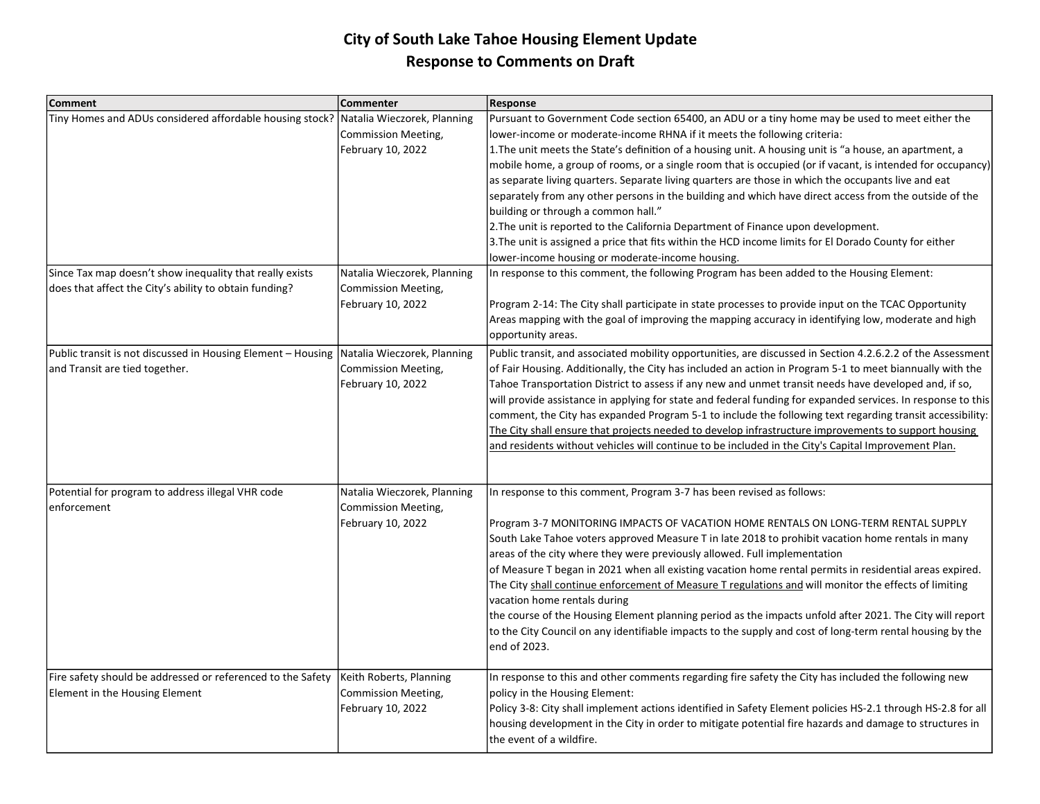| <b>Comment</b>                                                                                                     | Commenter                                          | <b>Response</b>                                                                                                           |
|--------------------------------------------------------------------------------------------------------------------|----------------------------------------------------|---------------------------------------------------------------------------------------------------------------------------|
| Tiny Homes and ADUs considered affordable housing stock? Natalia Wieczorek, Planning                               |                                                    | Pursuant to Government Code section 65400, an ADU or a tiny home may be used to meet either the                           |
|                                                                                                                    | Commission Meeting,                                | lower-income or moderate-income RHNA if it meets the following criteria:                                                  |
|                                                                                                                    | February 10, 2022                                  | 1. The unit meets the State's definition of a housing unit. A housing unit is "a house, an apartment, a                   |
|                                                                                                                    |                                                    | mobile home, a group of rooms, or a single room that is occupied (or if vacant, is intended for occupancy)                |
|                                                                                                                    |                                                    | as separate living quarters. Separate living quarters are those in which the occupants live and eat                       |
|                                                                                                                    |                                                    | separately from any other persons in the building and which have direct access from the outside of the                    |
|                                                                                                                    |                                                    | building or through a common hall."                                                                                       |
|                                                                                                                    |                                                    | 2. The unit is reported to the California Department of Finance upon development.                                         |
|                                                                                                                    |                                                    | 3. The unit is assigned a price that fits within the HCD income limits for El Dorado County for either                    |
|                                                                                                                    |                                                    | lower-income housing or moderate-income housing.                                                                          |
| Since Tax map doesn't show inequality that really exists<br>does that affect the City's ability to obtain funding? | Natalia Wieczorek, Planning<br>Commission Meeting, | In response to this comment, the following Program has been added to the Housing Element:                                 |
|                                                                                                                    | February 10, 2022                                  | Program 2-14: The City shall participate in state processes to provide input on the TCAC Opportunity                      |
|                                                                                                                    |                                                    | Areas mapping with the goal of improving the mapping accuracy in identifying low, moderate and high<br>opportunity areas. |
| Public transit is not discussed in Housing Element - Housing Natalia Wieczorek, Planning                           |                                                    | Public transit, and associated mobility opportunities, are discussed in Section 4.2.6.2.2 of the Assessment               |
| and Transit are tied together.                                                                                     | <b>Commission Meeting,</b>                         | of Fair Housing. Additionally, the City has included an action in Program 5-1 to meet biannually with the                 |
|                                                                                                                    | February 10, 2022                                  | Tahoe Transportation District to assess if any new and unmet transit needs have developed and, if so,                     |
|                                                                                                                    |                                                    | will provide assistance in applying for state and federal funding for expanded services. In response to this              |
|                                                                                                                    |                                                    | comment, the City has expanded Program 5-1 to include the following text regarding transit accessibility:                 |
|                                                                                                                    |                                                    | The City shall ensure that projects needed to develop infrastructure improvements to support housing                      |
|                                                                                                                    |                                                    | and residents without vehicles will continue to be included in the City's Capital Improvement Plan.                       |
|                                                                                                                    |                                                    |                                                                                                                           |
| Potential for program to address illegal VHR code<br>enforcement                                                   | Natalia Wieczorek, Planning<br>Commission Meeting, | In response to this comment, Program 3-7 has been revised as follows:                                                     |
|                                                                                                                    | February 10, 2022                                  | Program 3-7 MONITORING IMPACTS OF VACATION HOME RENTALS ON LONG-TERM RENTAL SUPPLY                                        |
|                                                                                                                    |                                                    | South Lake Tahoe voters approved Measure T in late 2018 to prohibit vacation home rentals in many                         |
|                                                                                                                    |                                                    | areas of the city where they were previously allowed. Full implementation                                                 |
|                                                                                                                    |                                                    | of Measure T began in 2021 when all existing vacation home rental permits in residential areas expired.                   |
|                                                                                                                    |                                                    | The City shall continue enforcement of Measure T regulations and will monitor the effects of limiting                     |
|                                                                                                                    |                                                    | vacation home rentals during                                                                                              |
|                                                                                                                    |                                                    | the course of the Housing Element planning period as the impacts unfold after 2021. The City will report                  |
|                                                                                                                    |                                                    | to the City Council on any identifiable impacts to the supply and cost of long-term rental housing by the                 |
|                                                                                                                    |                                                    | end of 2023.                                                                                                              |
|                                                                                                                    |                                                    |                                                                                                                           |
| Fire safety should be addressed or referenced to the Safety                                                        | Keith Roberts, Planning                            | In response to this and other comments regarding fire safety the City has included the following new                      |
| Element in the Housing Element                                                                                     | <b>Commission Meeting,</b>                         | policy in the Housing Element:                                                                                            |
|                                                                                                                    | February 10, 2022                                  | Policy 3-8: City shall implement actions identified in Safety Element policies HS-2.1 through HS-2.8 for all              |
|                                                                                                                    |                                                    | housing development in the City in order to mitigate potential fire hazards and damage to structures in                   |
|                                                                                                                    |                                                    | the event of a wildfire.                                                                                                  |